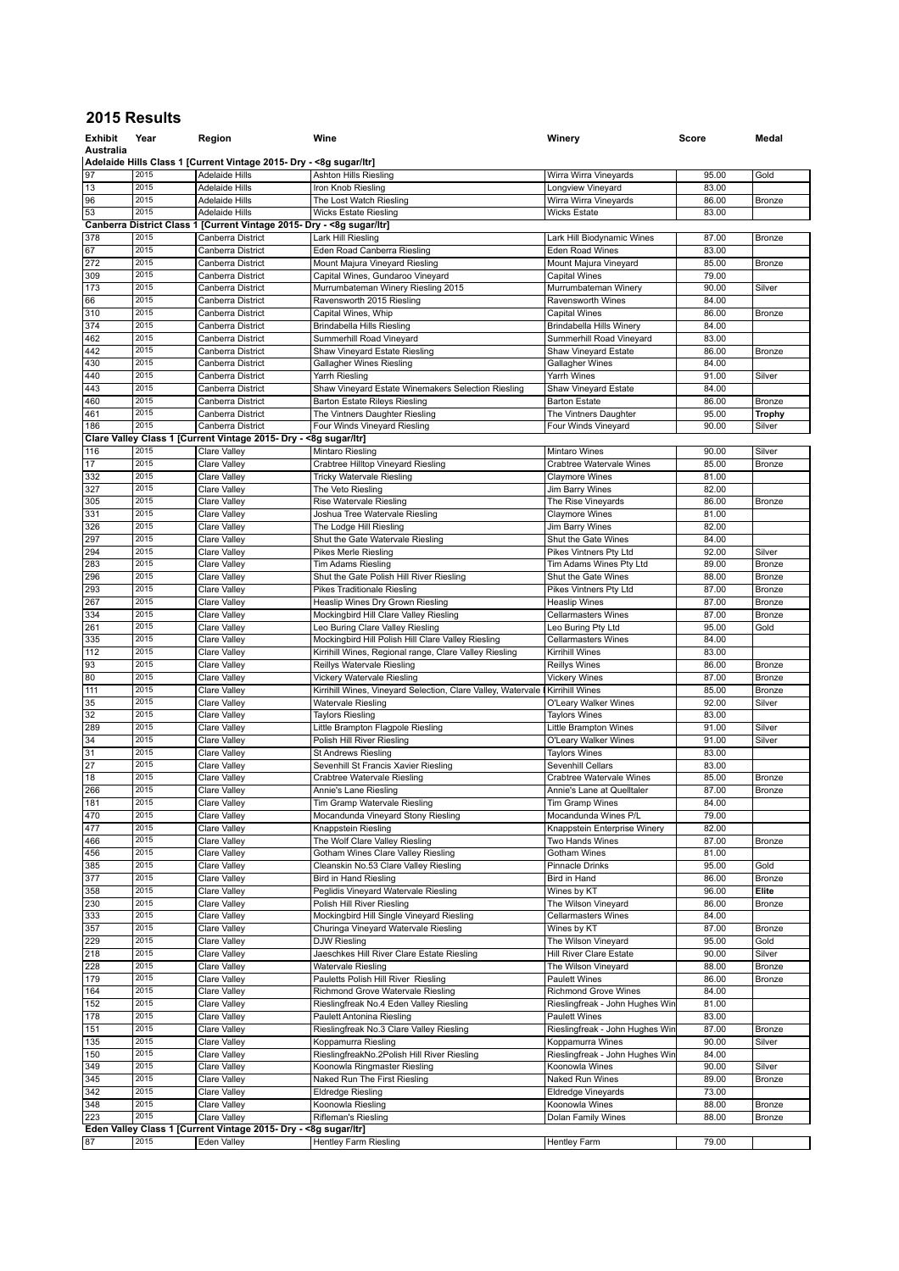## **2015 Results**

| <b>Exhibit</b>  | Year         | Region                                                                                      | Wine                                                                              | Winery                                           | Score          | Medal          |
|-----------------|--------------|---------------------------------------------------------------------------------------------|-----------------------------------------------------------------------------------|--------------------------------------------------|----------------|----------------|
| Australia       |              |                                                                                             |                                                                                   |                                                  |                |                |
| 97              | 2015         | Adelaide Hills Class 1 [Current Vintage 2015- Dry - <8g sugar/ltr]<br><b>Adelaide Hills</b> | <b>Ashton Hills Riesling</b>                                                      | Wirra Wirra Vineyards                            | 95.00          | Gold           |
| 13              | 2015         | <b>Adelaide Hills</b>                                                                       | Iron Knob Riesling                                                                | Longview Vineyard                                | 83.00          |                |
| 96              | 2015         | <b>Adelaide Hills</b>                                                                       | The Lost Watch Riesling                                                           | Wirra Wirra Vineyards                            | 86.00          | Bronze         |
| 53              | 2015         | <b>Adelaide Hills</b>                                                                       | <b>Wicks Estate Riesling</b>                                                      | <b>Wicks Estate</b>                              | 83.00          |                |
|                 |              | Canberra District Class 1 [Current Vintage 2015- Dry - < 8g sugar/ltr]                      |                                                                                   |                                                  |                |                |
| 378             | 2015         | Canberra District                                                                           | Lark Hill Riesling                                                                | Lark Hill Biodynamic Wines                       | 87.00          | <b>Bronze</b>  |
| 67              | 2015         | Canberra District                                                                           | Eden Road Canberra Riesling                                                       | Eden Road Wines                                  | 83.00          |                |
| 272             | 2015         | Canberra District                                                                           | Mount Majura Vineyard Riesling                                                    | Mount Majura Vineyard                            | 85.00          | Bronze         |
| 309             | 2015<br>2015 | Canberra District                                                                           | Capital Wines, Gundaroo Vineyard                                                  | <b>Capital Wines</b>                             | 79.00          |                |
| 173<br>66       | 2015         | Canberra District<br>Canberra District                                                      | Murrumbateman Winery Riesling 2015<br>Ravensworth 2015 Riesling                   | Murrumbateman Winery<br>Ravensworth Wines        | 90.00<br>84.00 | Silver         |
| 310             | 2015         | Canberra District                                                                           | Capital Wines, Whip                                                               | <b>Capital Wines</b>                             | 86.00          | Bronze         |
| 374             | 2015         | Canberra District                                                                           | Brindabella Hills Riesling                                                        | Brindabella Hills Winery                         | 84.00          |                |
| 462             | 2015         | Canberra District                                                                           | Summerhill Road Vineyard                                                          | Summerhill Road Vineyard                         | 83.00          |                |
| 442             | 2015         | Canberra District                                                                           | Shaw Vineyard Estate Riesling                                                     | Shaw Vineyard Estate                             | 86.00          | Bronze         |
| 430             | 2015         | Canberra District                                                                           | <b>Gallagher Wines Riesling</b>                                                   | Gallagher Wines                                  | 84.00          |                |
| 440             | 2015         | Canberra District                                                                           | Yarrh Riesling                                                                    | Yarrh Wines                                      | 91.00          | Silver         |
| 443             | 2015         | Canberra District                                                                           | Shaw Vineyard Estate Winemakers Selection Riesling                                | Shaw Vineyard Estate                             | 84.00          |                |
| 460             | 2015         | Canberra District                                                                           | <b>Barton Estate Rileys Riesling</b>                                              | <b>Barton Estate</b>                             | 86.00          | Bronze         |
| 461             | 2015<br>2015 | Canberra District                                                                           | The Vintners Daughter Riesling                                                    | The Vintners Daughter                            | 95.00          | <b>Trophy</b>  |
| 186             |              | Canberra District<br>Clare Valley Class 1 [Current Vintage 2015- Dry - < 8g sugar/ltr]      | Four Winds Vineyard Riesling                                                      | Four Winds Vineyard                              | 90.00          | Silver         |
| 116             | 2015         | Clare Valley                                                                                | Mintaro Riesling                                                                  | <b>Mintaro Wines</b>                             | 90.00          | Silver         |
| 17              | 2015         | Clare Valley                                                                                | Crabtree Hilltop Vineyard Riesling                                                | Crabtree Watervale Wines                         | 85.00          | <b>Bronze</b>  |
| 332             | 2015         | Clare Valley                                                                                | <b>Tricky Watervale Riesling</b>                                                  | <b>Claymore Wines</b>                            | 81.00          |                |
| 327             | 2015         | Clare Valley                                                                                | The Veto Riesling                                                                 | Jim Barry Wines                                  | 82.00          |                |
| 305             | 2015         | <b>Clare Valley</b>                                                                         | Rise Watervale Riesling                                                           | The Rise Vineyards                               | 86.00          | Bronze         |
| 331             | 2015         | Clare Valley                                                                                | Joshua Tree Watervale Riesling                                                    | <b>Claymore Wines</b>                            | 81.00          |                |
| 326             | 2015         | Clare Valley                                                                                | The Lodge Hill Riesling                                                           | <b>Jim Barry Wines</b>                           | 82.00          |                |
| 297             | 2015         | Clare Valley                                                                                | Shut the Gate Watervale Riesling                                                  | Shut the Gate Wines                              | 84.00          |                |
| 294             | 2015         | Clare Valley                                                                                | Pikes Merle Riesling                                                              | Pikes Vintners Ptv Ltd                           | 92.00          | Silver         |
| 283             | 2015         | <b>Clare Valley</b>                                                                         | Tim Adams Riesling                                                                | Tim Adams Wines Pty Ltd                          | 89.00          | Bronze         |
| 296             | 2015         | Clare Valley                                                                                | Shut the Gate Polish Hill River Riesling                                          | Shut the Gate Wines                              | 88.00          | Bronze         |
| 293             | 2015<br>2015 | Clare Valley                                                                                | <b>Pikes Traditionale Riesling</b>                                                | Pikes Vintners Pty Ltd                           | 87.00          | Bronze         |
| 267             | 2015         | Clare Valley                                                                                | Heaslip Wines Dry Grown Riesling                                                  | <b>Heaslip Wines</b>                             | 87.00<br>87.00 | <b>Bronze</b>  |
| 334<br>261      | 2015         | Clare Valley<br>Clare Valley                                                                | Mockingbird Hill Clare Valley Riesling<br>Leo Buring Clare Valley Riesling        | <b>Cellarmasters Wines</b><br>Leo Buring Pty Ltd | 95.00          | Bronze<br>Gold |
| 335             | 2015         | Clare Valley                                                                                | Mockingbird Hill Polish Hill Clare Valley Riesling                                | <b>Cellarmasters Wines</b>                       | 84.00          |                |
| 112             | 2015         | Clare Valley                                                                                | Kirrihill Wines, Regional range, Clare Valley Riesling                            | Kirrihill Wines                                  | 83.00          |                |
| 93              | 2015         | Clare Valley                                                                                | Reillys Watervale Riesling                                                        | <b>Reillys Wines</b>                             | 86.00          | Bronze         |
| 80              | 2015         | Clare Valley                                                                                | Vickery Watervale Riesling                                                        | <b>Vickery Wines</b>                             | 87.00          | Bronze         |
| 111             | 2015         | Clare Valley                                                                                | Kirrihill Wines, Vineyard Selection, Clare Valley, Watervale                      | Kirrihill Wines                                  | 85.00          | Bronze         |
| 35              | 2015         | Clare Valley                                                                                | <b>Watervale Riesling</b>                                                         | O'Leary Walker Wines                             | 92.00          | Silver         |
| $\overline{32}$ | 2015         | Clare Valley                                                                                | <b>Taylors Riesling</b>                                                           | <b>Taylors Wines</b>                             | 83.00          |                |
| 289             | 2015         | <b>Clare Valley</b>                                                                         | Little Brampton Flagpole Riesling                                                 | Little Brampton Wines                            | 91.00          | Silver         |
| 34              | 2015         | Clare Valley                                                                                | Polish Hill River Riesling                                                        | O'Leary Walker Wines                             | 91.00          | Silver         |
| 31<br>27        | 2015<br>2015 | Clare Valley                                                                                | <b>St Andrews Riesling</b>                                                        | <b>Taylors Wines</b>                             | 83.00          |                |
| 18              | 2015         | Clare Valley<br><b>Clare Valley</b>                                                         | Sevenhill St Francis Xavier Riesling<br>Crabtree Watervale Riesling               | Sevenhill Cellars<br>Crabtree Watervale Wines    | 83.00<br>85.00 | Bronze         |
| 266             | 2015         | Clare Valley                                                                                | Annie's Lane Riesling                                                             | Annie's Lane at Quelltaler                       | 87.00          | Bronze         |
| 181             | 2015         | Clare Valley                                                                                | Tim Gramp Watervale Riesling                                                      | Tim Gramp Wines                                  | 84.00          |                |
| 470             | 2015         | Clare Valley                                                                                | Mocandunda Vineyard Stony Riesling                                                | Mocandunda Wines P/L                             | 79.00          |                |
| 477             | 2015         | Clare Valley                                                                                | Knappstein Riesling                                                               | Knappstein Enterprise Winery                     | 82.00          |                |
| 466             | 2015         | Clare Valley                                                                                | The Wolf Clare Valley Riesling                                                    | Two Hands Wines                                  | 87.00          | Bronze         |
| 456             | 2015         | Clare Valley                                                                                | Gotham Wines Clare Valley Riesling                                                | Gotham Wines                                     | 81.00          |                |
| 385             | 2015         | Clare Valley                                                                                | Cleanskin No.53 Clare Valley Riesling                                             | Pinnacle Drinks                                  | 95.00          | Gold           |
| 377             | 2015         | <b>Clare Valley</b>                                                                         | <b>Bird in Hand Riesling</b>                                                      | Bird in Hand                                     | 86.00          | Bronze         |
| 358             | 2015         | Clare Valley                                                                                | Peglidis Vineyard Watervale Riesling                                              | Wines by KT                                      | 96.00          | Elite          |
| 230             | 2015         | Clare Valley                                                                                | Polish Hill River Riesling                                                        | The Wilson Vineyard                              | 86.00          | Bronze         |
| 333             | 2015<br>2015 | Clare Valley                                                                                | Mockingbird Hill Single Vineyard Riesling<br>Churinga Vineyard Watervale Riesling | <b>Cellarmasters Wines</b>                       | 84.00<br>87.00 |                |
| 357<br>229      | 2015         | Clare Valley<br>Clare Valley                                                                | DJW Riesling                                                                      | Wines by KT<br>The Wilson Vineyard               | 95.00          | Bronze<br>Gold |
| 218             | 2015         | Clare Valley                                                                                | Jaeschkes Hill River Clare Estate Riesling                                        | Hill River Clare Estate                          | 90.00          | Silver         |
| 228             | 2015         | Clare Valley                                                                                | Watervale Riesling                                                                | The Wilson Vineyard                              | 88.00          | Bronze         |
| 179             | 2015         | Clare Valley                                                                                | Pauletts Polish Hill River Riesling                                               | Paulett Wines                                    | 86.00          | Bronze         |
| 164             | 2015         | Clare Valley                                                                                | Richmond Grove Watervale Riesling                                                 | Richmond Grove Wines                             | 84.00          |                |
| 152             | 2015         | Clare Valley                                                                                | Rieslingfreak No.4 Eden Valley Riesling                                           | Rieslingfreak - John Hughes Win                  | 81.00          |                |
| 178             | 2015         | Clare Valley                                                                                | Paulett Antonina Riesling                                                         | <b>Paulett Wines</b>                             | 83.00          |                |
| 151             | 2015         | Clare Valley                                                                                | Rieslingfreak No.3 Clare Valley Riesling                                          | Rieslingfreak - John Hughes Win                  | 87.00          | Bronze         |
| 135             | 2015         | Clare Valley                                                                                | Koppamurra Riesling                                                               | Koppamurra Wines                                 | 90.00          | Silver         |
| 150             | 2015         | Clare Valley                                                                                | RieslingfreakNo.2Polish Hill River Riesling                                       | Rieslingfreak - John Hughes Win                  | 84.00          |                |
| 349             | 2015         | Clare Valley                                                                                | Koonowla Ringmaster Riesling                                                      | Koonowla Wines                                   | 90.00          | Silver         |
| 345             | 2015         | Clare Valley                                                                                | Naked Run The First Riesling                                                      | Naked Run Wines                                  | 89.00          | Bronze         |
| 342             | 2015         | Clare Valley                                                                                | Eldredge Riesling                                                                 | Eldredge Vineyards                               | 73.00          |                |
| 348<br>223      | 2015<br>2015 | Clare Valley<br>Clare Valley                                                                | Koonowla Riesling<br>Rifleman's Riesling                                          | Koonowla Wines<br>Dolan Family Wines             | 88.00<br>88.00 | Bronze         |
|                 |              | Eden Valley Class 1 [Current Vintage 2015- Dry - < 8g sugar/ltr]                            |                                                                                   |                                                  |                | Bronze         |
| 87              | 2015         | Eden Valley                                                                                 | <b>Hentley Farm Riesling</b>                                                      | <b>Hentley Farm</b>                              | 79.00          |                |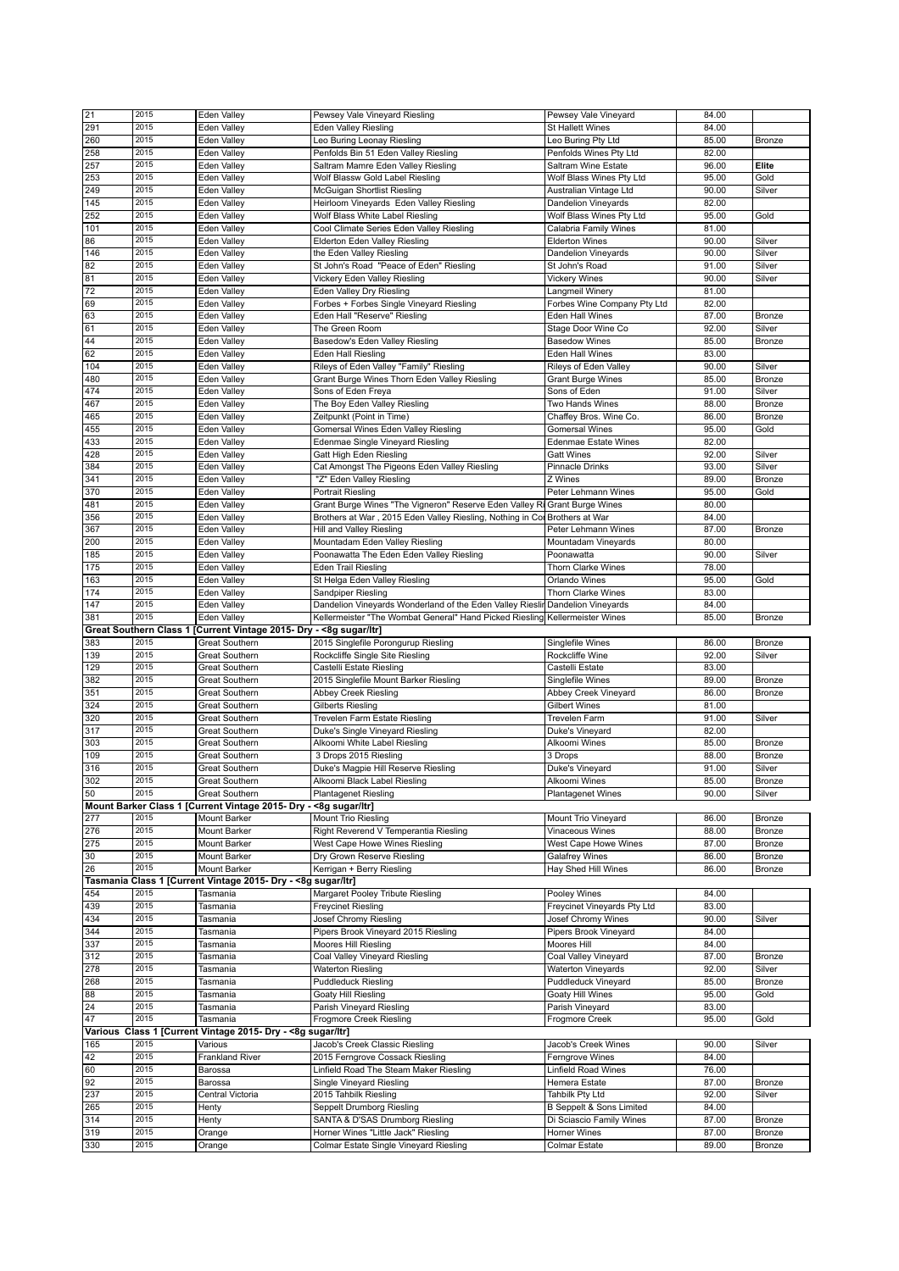| 21              | 2015 | Eden Valley                                                        | Pewsey Vale Vineyard Riesling                                                 | Pewsey Vale Vineyard                | 84.00          |                  |
|-----------------|------|--------------------------------------------------------------------|-------------------------------------------------------------------------------|-------------------------------------|----------------|------------------|
| 291             | 2015 | Eden Valley                                                        | <b>Eden Valley Riesling</b>                                                   | <b>St Hallett Wines</b>             | 84.00          |                  |
| 260             | 2015 | Eden Valley                                                        | Leo Buring Leonay Riesling                                                    | Leo Buring Pty Ltd                  | 85.00          | Bronze           |
| 258             | 2015 | Eden Valley                                                        | Penfolds Bin 51 Eden Valley Riesling                                          | Penfolds Wines Pty Ltd              | 82.00          |                  |
| 257             | 2015 | Eden Valley                                                        | Saltram Mamre Eden Valley Riesling                                            | Saltram Wine Estate                 | 96.00          | Elite            |
|                 | 2015 |                                                                    |                                                                               |                                     |                |                  |
| 253             |      | Eden Valley                                                        | Wolf Blassw Gold Label Riesling                                               | Wolf Blass Wines Pty Ltd            | 95.00          | Gold             |
| 249             | 2015 | Eden Valley                                                        | McGuigan Shortlist Riesling                                                   | Australian Vintage Ltd              | 90.00          | Silver           |
| 145             | 2015 | <b>Eden Valley</b>                                                 | Heirloom Vineyards Eden Valley Riesling                                       | Dandelion Vineyards                 | 82.00          |                  |
| 252             | 2015 | Eden Valley                                                        | Wolf Blass White Label Riesling                                               | Wolf Blass Wines Pty Ltd            | 95.00          | Gold             |
| 101             | 2015 | Eden Valley                                                        | Cool Climate Series Eden Valley Riesling                                      | Calabria Family Wines               | 81.00          |                  |
| 86              | 2015 | Eden Valley                                                        | Elderton Eden Valley Riesling                                                 | <b>Elderton Wines</b>               | 90.00          | Silver           |
| 146             | 2015 | Eden Valley                                                        | the Eden Valley Riesling                                                      | Dandelion Vineyards                 | 90.00          | Silver           |
| 82              | 2015 | Eden Valley                                                        | St John's Road "Peace of Eden" Riesling                                       | St John's Road                      | 91.00          | Silver           |
| 81              | 2015 | <b>Eden Valley</b>                                                 | Vickery Eden Valley Riesling                                                  | <b>Vickery Wines</b>                | 90.00          | Silver           |
| 72              | 2015 |                                                                    |                                                                               |                                     |                |                  |
|                 |      | Eden Valley                                                        | Eden Valley Dry Riesling                                                      | Langmeil Winery                     | 81.00          |                  |
| 69              | 2015 | Eden Valley                                                        | Forbes + Forbes Single Vineyard Riesling                                      | Forbes Wine Company Pty Ltd         | 82.00          |                  |
| 63              | 2015 | Eden Valley                                                        | Eden Hall "Reserve" Riesling                                                  | Eden Hall Wines                     | 87.00          | Bronze           |
| 61              | 2015 | Eden Valley                                                        | The Green Room                                                                | Stage Door Wine Co                  | 92.00          | Silver           |
| $\overline{44}$ | 2015 | Eden Valley                                                        | Basedow's Eden Valley Riesling                                                | <b>Basedow Wines</b>                | 85.00          | Bronze           |
| 62              | 2015 | Eden Valley                                                        | Eden Hall Riesling                                                            | Eden Hall Wines                     | 83.00          |                  |
| 104             | 2015 | Eden Valley                                                        | Rileys of Eden Valley "Family" Riesling                                       | Rileys of Eden Valley               | 90.00          | Silver           |
| 480             | 2015 | Eden Valley                                                        | Grant Burge Wines Thorn Eden Valley Riesling                                  | <b>Grant Burge Wines</b>            | 85.00          | <b>Bronze</b>    |
| 474             | 2015 |                                                                    |                                                                               |                                     | 91.00          | Silver           |
|                 |      | Eden Valley                                                        | Sons of Eden Freya                                                            | Sons of Eden                        |                |                  |
| 467             | 2015 | Eden Valley                                                        | The Boy Eden Valley Riesling                                                  | Two Hands Wines                     | 88.00          | Bronze           |
| 465             | 2015 | Eden Valley                                                        | Zeitpunkt (Point in Time)                                                     | Chaffey Bros. Wine Co.              | 86.00          | Bronze           |
| 455             | 2015 | Eden Valley                                                        | Gomersal Wines Eden Valley Riesling                                           | <b>Gomersal Wines</b>               | 95.00          | Gold             |
| 433             | 2015 | Eden Valley                                                        | Edenmae Single Vineyard Riesling                                              | <b>Edenmae Estate Wines</b>         | 82.00          |                  |
| 428             | 2015 | Eden Valley                                                        | Gatt High Eden Riesling                                                       | <b>Gatt Wines</b>                   | 92.00          | Silver           |
| 384             | 2015 | Eden Valley                                                        | Cat Amongst The Pigeons Eden Valley Riesling                                  | Pinnacle Drinks                     | 93.00          | Silver           |
| 341             | 2015 | Eden Valley                                                        | "Z" Eden Valley Riesling                                                      | Z Wines                             | 89.00          | Bronze           |
| 370             | 2015 | Eden Valley                                                        | Portrait Riesling                                                             | Peter Lehmann Wines                 | 95.00          | Gold             |
| 481             | 2015 |                                                                    | Grant Burge Wines "The Vigneron" Reserve Eden Valley Ri Grant Burge Wines     |                                     | 80.00          |                  |
|                 |      | Eden Valley                                                        |                                                                               |                                     |                |                  |
| 356             | 2015 | Eden Valley                                                        | Brothers at War, 2015 Eden Valley Riesling, Nothing in Cor Brothers at War    |                                     | 84.00          |                  |
| 367             | 2015 | Eden Valley                                                        | Hill and Valley Riesling                                                      | Peter Lehmann Wines                 | 87.00          | Bronze           |
| 200             | 2015 | Eden Valley                                                        | Mountadam Eden Valley Riesling                                                | Mountadam Vineyards                 | 80.00          |                  |
| 185             | 2015 | Eden Valley                                                        | Poonawatta The Eden Eden Valley Riesling                                      | Poonawatta                          | 90.00          | Silver           |
| 175             | 2015 | Eden Valley                                                        | Eden Trail Riesling                                                           | Thorn Clarke Wines                  | 78.00          |                  |
| 163             | 2015 | Eden Valley                                                        | St Helga Eden Valley Riesling                                                 | Orlando Wines                       | 95.00          | Gold             |
| 174             | 2015 | Eden Valley                                                        | Sandpiper Riesling                                                            | Thorn Clarke Wines                  | 83.00          |                  |
| 147             | 2015 | Eden Valley                                                        | Dandelion Vineyards Wonderland of the Eden Valley Rieslin Dandelion Vineyards |                                     | 84.00          |                  |
|                 | 2015 |                                                                    |                                                                               |                                     |                |                  |
| 381             |      | Eden Valley                                                        | Kellermeister "The Wombat General" Hand Picked Riesling Kellermeister Wines   |                                     | 85.00          | Bronze           |
|                 |      |                                                                    |                                                                               |                                     |                |                  |
|                 |      | Great Southern Class 1 [Current Vintage 2015- Dry - <8g sugar/ltr] |                                                                               |                                     |                |                  |
| 383             | 2015 | <b>Great Southern</b>                                              | 2015 Singlefile Porongurup Riesling                                           | Singlefile Wines                    | 86.00          | Bronze           |
| 139             | 2015 | <b>Great Southern</b>                                              | Rockcliffe Single Site Riesling                                               | Rockcliffe Wine                     | 92.00          | Silver           |
| 129             | 2015 | <b>Great Southern</b>                                              | Castelli Estate Riesling                                                      | Castelli Estate                     | 83.00          |                  |
| 382             | 2015 | <b>Great Southern</b>                                              | 2015 Singlefile Mount Barker Riesling                                         | Singlefile Wines                    | 89.00          | Bronze           |
|                 | 2015 |                                                                    |                                                                               |                                     |                |                  |
| 351             |      | <b>Great Southern</b>                                              | <b>Abbey Creek Riesling</b>                                                   | Abbey Creek Vineyard                | 86.00          | Bronze           |
| 324             | 2015 | <b>Great Southern</b>                                              | Gilberts Riesling                                                             | <b>Gilbert Wines</b>                | 81.00          |                  |
| 320             | 2015 | <b>Great Southern</b>                                              | Trevelen Farm Estate Riesling                                                 | <b>Trevelen Farm</b>                | 91.00          | Silver           |
| 317             | 2015 | <b>Great Southern</b>                                              | Duke's Single Vineyard Riesling                                               | Duke's Vineyard                     | 82.00          |                  |
| 303             | 2015 | Great Southern                                                     | Alkoomi White Label Riesling                                                  | Alkoomi Wines                       | 85.00          | Bronze           |
| 109             | 2015 | <b>Great Southern</b>                                              | 3 Drops 2015 Riesling                                                         | 3 Drops                             | 88.00          | <b>Bronze</b>    |
| 316             | 2015 | <b>Great Southern</b>                                              | Duke's Magpie Hill Reserve Riesling                                           | Duke's Vineyard                     | 91.00          | Silver           |
| 302             | 2015 | <b>Great Southern</b>                                              | Alkoomi Black Label Riesling                                                  | Alkoomi Wines                       | 85.00          | Bronze           |
| 50              | 2015 | Great Southern                                                     | <b>Plantagenet Riesling</b>                                                   | <b>Plantagenet Wines</b>            | 90.00          | Silver           |
|                 |      |                                                                    |                                                                               |                                     |                |                  |
|                 |      | Mount Barker Class 1 [Current Vintage 2015- Dry - <8g sugar/ltr]   |                                                                               |                                     |                |                  |
| 277             | 2015 | <b>Mount Barker</b>                                                | Mount Trio Riesling                                                           | Mount Trio Vineyard                 | 86.00          | Bronze           |
| 276             | 2015 | Mount Barker                                                       | Right Reverend V Temperantia Riesling                                         | Vinaceous Wines                     | 88.00          | <b>Bronze</b>    |
| 275             | 2015 | Mount Barker                                                       | West Cape Howe Wines Riesling                                                 | West Cape Howe Wines                | 87.00          | <b>Bronze</b>    |
| 30              | 2015 | Mount Barker                                                       | Dry Grown Reserve Riesling                                                    | Galafrey Wines                      | 86.00          | Bronze           |
| 26              | 2015 | Mount Barker                                                       | Kerrigan + Berry Riesling                                                     | Hay Shed Hill Wines                 | 86.00          | Bronze           |
|                 |      | Tasmania Class 1 [Current Vintage 2015- Dry - <8g sugar/ltr]       |                                                                               |                                     |                |                  |
| 454             | 2015 | Tasmania                                                           | Margaret Pooley Tribute Riesling                                              | Pooley Wines                        | 84.00          |                  |
| 439             | 2015 | Tasmania                                                           | <b>Freycinet Riesling</b>                                                     | Freycinet Vineyards Pty Ltd         | 83.00          |                  |
|                 | 2015 |                                                                    |                                                                               | Josef Chromy Wines                  | 90.00          |                  |
| 434             |      | Tasmania                                                           | Josef Chromy Riesling                                                         |                                     |                | Silver           |
| 344             | 2015 | Tasmania                                                           | Pipers Brook Vineyard 2015 Riesling                                           | Pipers Brook Vineyard               | 84.00          |                  |
| 337             | 2015 | Tasmania                                                           | Moores Hill Riesling                                                          | Moores Hill                         | 84.00          |                  |
| 312             | 2015 | Tasmania                                                           | Coal Valley Vineyard Riesling                                                 | Coal Valley Vineyard                | 87.00          | Bronze           |
| 278             | 2015 | Tasmania                                                           | <b>Waterton Riesling</b>                                                      | Waterton Vineyards                  | 92.00          | Silver           |
| 268             | 2015 | Tasmania                                                           | <b>Puddleduck Riesling</b>                                                    | Puddleduck Vineyard                 | 85.00          | Bronze           |
| 88              | 2015 | Tasmania                                                           | Goaty Hill Riesling                                                           | Goaty Hill Wines                    | 95.00          | Gold             |
| 24              | 2015 | Tasmania                                                           | Parish Vineyard Riesling                                                      | Parish Vineyard                     | 83.00          |                  |
| 47              | 2015 | Tasmania                                                           | Frogmore Creek Riesling                                                       | Frogmore Creek                      | 95.00          | Gold             |
|                 |      |                                                                    |                                                                               |                                     |                |                  |
|                 |      | Various Class 1 [Current Vintage 2015- Dry - <8g sugar/ltr]        |                                                                               |                                     |                |                  |
| 165             | 2015 | Various                                                            | Jacob's Creek Classic Riesling                                                | Jacob's Creek Wines                 | 90.00          | Silver           |
| 42              | 2015 | Frankland River                                                    | 2015 Ferngrove Cossack Riesling                                               | Ferngrove Wines                     | 84.00          |                  |
|                 | 2015 | Barossa                                                            | Linfield Road The Steam Maker Riesling                                        | Linfield Road Wines                 | 76.00          |                  |
| 92              | 2015 | Barossa                                                            | Single Vineyard Riesling                                                      | Hemera Estate                       | 87.00          | Bronze           |
| 60<br>237       | 2015 | Central Victoria                                                   | 2015 Tahbilk Riesling                                                         | Tahbilk Pty Ltd                     | 92.00          | Silver           |
| 265             | 2015 | Henty                                                              | Seppelt Drumborg Riesling                                                     | <b>B Seppelt &amp; Sons Limited</b> | 84.00          |                  |
| 314             | 2015 | Henty                                                              | SANTA & D'SAS Drumborg Riesling                                               | Di Sciascio Family Wines            | 87.00          | Bronze           |
|                 | 2015 |                                                                    |                                                                               |                                     |                |                  |
| 319<br>330      | 2015 | Orange<br>Orange                                                   | Horner Wines "Little Jack" Riesling<br>Colmar Estate Single Vineyard Riesling | Horner Wines<br>Colmar Estate       | 87.00<br>89.00 | Bronze<br>Bronze |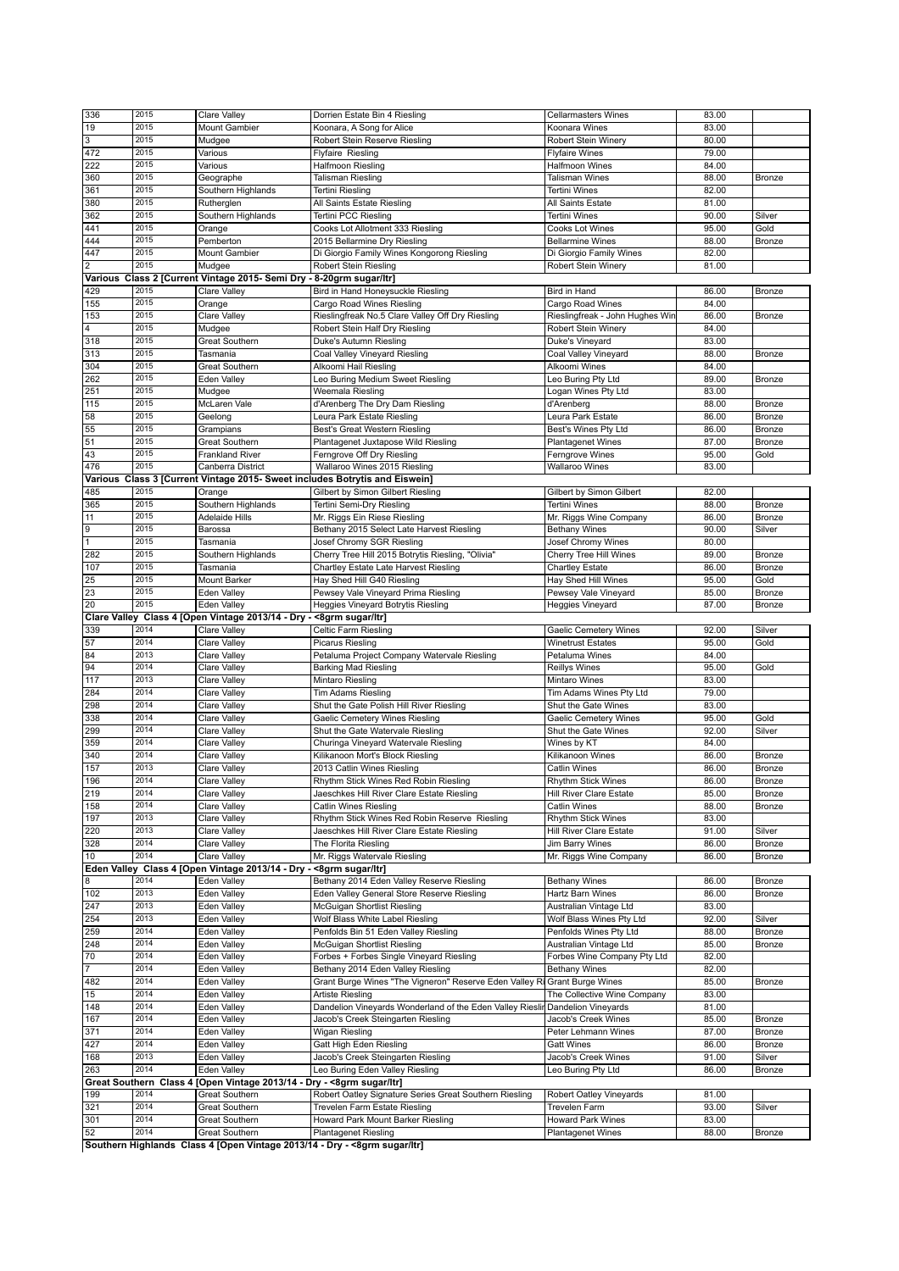| 336            | 2015         | Clare Valley                                                           | Dorrien Estate Bin 4 Riesling                                                 | <b>Cellarmasters Wines</b>                    | 83.00          |               |
|----------------|--------------|------------------------------------------------------------------------|-------------------------------------------------------------------------------|-----------------------------------------------|----------------|---------------|
|                | 2015         |                                                                        |                                                                               |                                               |                |               |
| 19             |              | Mount Gambier                                                          | Koonara, A Song for Alice                                                     | Koonara Wines                                 | 83.00          |               |
| 3              | 2015         | Mudgee                                                                 | Robert Stein Reserve Riesling                                                 | Robert Stein Winery                           | 80.00          |               |
| 472            | 2015         | Various                                                                | Flyfaire Riesling                                                             | <b>Flyfaire Wines</b>                         | 79.00          |               |
| 222            | 2015         | Various                                                                | Halfmoon Riesling                                                             | Halfmoon Wines                                | 84.00          |               |
| 360            | 2015         | Geographe                                                              | Talisman Riesling                                                             | Talisman Wines                                | 88.00          | Bronze        |
| 361            | 2015         | Southern Highlands                                                     |                                                                               | <b>Tertini Wines</b>                          | 82.00          |               |
|                |              |                                                                        | Tertini Riesling                                                              |                                               |                |               |
| 380            | 2015         | Rutherglen                                                             | All Saints Estate Riesling                                                    | All Saints Estate                             | 81.00          |               |
| 362            | 2015         | Southern Highlands                                                     | Tertini PCC Riesling                                                          | <b>Tertini Wines</b>                          | 90.00          | Silver        |
| 441            | 2015         | Orange                                                                 | Cooks Lot Allotment 333 Riesling                                              | Cooks Lot Wines                               | 95.00          | Gold          |
| 444            | 2015         | Pemberton                                                              | 2015 Bellarmine Dry Riesling                                                  | <b>Bellarmine Wines</b>                       | 88.00          | Bronze        |
| 447            | 2015         | Mount Gambier                                                          | Di Giorgio Family Wines Kongorong Riesling                                    | Di Giorgio Family Wines                       | 82.00          |               |
| $\overline{2}$ | 2015         | Mudgee                                                                 | Robert Stein Riesling                                                         | Robert Stein Winery                           | 81.00          |               |
|                |              |                                                                        |                                                                               |                                               |                |               |
|                |              | Various Class 2 [Current Vintage 2015- Semi Dry - 8-20grm sugar/ltr]   |                                                                               |                                               |                |               |
| 429            | 2015         | Clare Valley                                                           | Bird in Hand Honeysuckle Riesling                                             | Bird in Hand                                  | 86.00          | Bronze        |
| 155            | 2015         | Orange                                                                 | Cargo Road Wines Riesling                                                     | Cargo Road Wines                              | 84.00          |               |
| 153            | 2015         | Clare Valley                                                           | Rieslingfreak No.5 Clare Valley Off Dry Riesling                              | Rieslingfreak - John Hughes Wir               | 86.00          | Bronze        |
| 4              | 2015         | Mudgee                                                                 | Robert Stein Half Dry Riesling                                                | Robert Stein Winery                           | 84.00          |               |
| 318            | 2015         | <b>Great Southern</b>                                                  | Duke's Autumn Riesling                                                        | Duke's Vineyard                               | 83.00          |               |
| 313            | 2015         | Tasmania                                                               | Coal Valley Vineyard Riesling                                                 | Coal Valley Vineyard                          | 88.00          | Bronze        |
|                | 2015         |                                                                        |                                                                               | Alkoomi Wines                                 | 84.00          |               |
| 304            |              | Great Southern                                                         | Alkoomi Hail Riesling                                                         |                                               |                |               |
| 262            | 2015         | Eden Valley                                                            | Leo Buring Medium Sweet Riesling                                              | Leo Buring Pty Ltd                            | 89.00          | Bronze        |
| 251            | 2015         | Mudgee                                                                 | Weemala Riesling                                                              | Logan Wines Pty Ltd                           | 83.00          |               |
| 115            | 2015         | McLaren Vale                                                           | d'Arenberg The Dry Dam Riesling                                               | d'Arenberg                                    | 88.00          | Bronze        |
| 58             | 2015         | Geelong                                                                | Leura Park Estate Riesling                                                    | Leura Park Estate                             | 86.00          | Bronze        |
| 55             | 2015         | Grampians                                                              | Best's Great Western Riesling                                                 | Best's Wines Pty Ltd                          | 86.00          | Bronze        |
| 51             | 2015         | Great Southern                                                         | Plantagenet Juxtapose Wild Riesling                                           | <b>Plantagenet Wines</b>                      | 87.00          | Bronze        |
|                |              |                                                                        |                                                                               |                                               |                |               |
| 43             | 2015         | <b>Frankland River</b>                                                 | Ferngrove Off Dry Riesling                                                    | Ferngrove Wines                               | 95.00          | Gold          |
| 476            | 2015         | Canberra District                                                      | Wallaroo Wines 2015 Riesling                                                  | <b>Wallaroo Wines</b>                         | 83.00          |               |
|                |              |                                                                        | Various Class 3 [Current Vintage 2015- Sweet includes Botrytis and Eiswein]   |                                               |                |               |
| 485            | 2015         | Orange                                                                 | Gilbert by Simon Gilbert Riesling                                             | Gilbert by Simon Gilbert                      | 82.00          |               |
| 365            | 2015         | Southern Highlands                                                     | Tertini Semi-Dry Riesling                                                     | Tertini Wines                                 | 88.00          | Bronze        |
| 11             | 2015         | Adelaide Hills                                                         | Mr. Riggs Ein Riese Riesling                                                  | Mr. Riggs Wine Company                        | 86.00          | Bronze        |
|                | 2015         |                                                                        |                                                                               |                                               |                |               |
| 9              |              | Barossa                                                                | Bethany 2015 Select Late Harvest Riesling                                     | <b>Bethany Wines</b>                          | 90.00          | Silver        |
| $\overline{1}$ | 2015         | Tasmania                                                               | Josef Chromy SGR Riesling                                                     | Josef Chromy Wines                            | 80.00          |               |
| 282            | 2015         | Southern Highlands                                                     | Cherry Tree Hill 2015 Botrytis Riesling, "Olivia"                             | Cherry Tree Hill Wines                        | 89.00          | Bronze        |
| 107            | 2015         | Tasmania                                                               | Chartley Estate Late Harvest Riesling                                         | <b>Chartley Estate</b>                        | 86.00          | Bronze        |
| 25             | 2015         | Mount Barker                                                           | Hay Shed Hill G40 Riesling                                                    | Hay Shed Hill Wines                           | 95.00          | Gold          |
| 23             | 2015         | Eden Valley                                                            | Pewsey Vale Vineyard Prima Riesling                                           | Pewsey Vale Vineyard                          | 85.00          | Bronze        |
|                |              |                                                                        |                                                                               |                                               |                |               |
| 20             | 2015         | Eden Valley                                                            | Heggies Vineyard Botrytis Riesling                                            | Heggies Vineyard                              | 87.00          | Bronze        |
|                |              | Clare Valley Class 4 [Open Vintage 2013/14 - Dry - < 8grm sugar/ltr]   |                                                                               |                                               |                |               |
|                |              |                                                                        |                                                                               |                                               |                |               |
| 339            | 2014         | Clare Valley                                                           | Celtic Farm Riesling                                                          | <b>Gaelic Cemetery Wines</b>                  | 92.00          | Silver        |
| 57             | 2014         | Clare Valley                                                           | <b>Picarus Riesling</b>                                                       | <b>Winetrust Estates</b>                      | 95.00          | Gold          |
|                | 2013         |                                                                        |                                                                               |                                               |                |               |
| 84             |              | Clare Valley                                                           | Petaluma Project Company Watervale Riesling                                   | Petaluma Wines                                | 84.00          |               |
| 94             | 2014         | Clare Valley                                                           | <b>Barking Mad Riesling</b>                                                   | Reillys Wines                                 | 95.00          | Gold          |
| 117            | 2013         | Clare Valley                                                           | Mintaro Riesling                                                              | Mintaro Wines                                 | 83.00          |               |
| 284            | 2014         | Clare Valley                                                           | Tim Adams Riesling                                                            | Tim Adams Wines Pty Ltd                       | 79.00          |               |
| 298            | 2014         | Clare Valley                                                           | Shut the Gate Polish Hill River Riesling                                      | Shut the Gate Wines                           | 83.00          |               |
| 338            | 2014         | Clare Valley                                                           | Gaelic Cemetery Wines Riesling                                                | <b>Gaelic Cemetery Wines</b>                  | 95.00          | Gold          |
| 299            | 2014         | Clare Valley                                                           | Shut the Gate Watervale Riesling                                              | Shut the Gate Wines                           | 92.00          | Silver        |
|                | 2014         |                                                                        |                                                                               |                                               |                |               |
| 359            |              | Clare Valley                                                           | Churinga Vineyard Watervale Riesling                                          | Wines by KT                                   | 84.00          |               |
| 340            | 2014         | <b>Clare Valley</b>                                                    | Kilikanoon Mort's Block Riesling                                              | Kilikanoon Wines                              | 86.00          | Bronze        |
| 157            | 2013         | Clare Valley                                                           | 2013 Catlin Wines Riesling                                                    | <b>Catlin Wines</b>                           | 86.00          | Bronze        |
| 196            | 2014         | Clare Valley                                                           | Rhythm Stick Wines Red Robin Riesling                                         | <b>Rhythm Stick Wines</b>                     | 86.00          | <b>Bronze</b> |
| 219            | 2014         | Clare Valley                                                           | Jaeschkes Hill River Clare Estate Riesling                                    | Hill River Clare Estate                       | 85.00          | Bronze        |
| 158            | 2014         | Clare Valley                                                           | Catlin Wines Riesling                                                         | <b>Catlin Wines</b>                           | 88.00          | Bronze        |
| 197            | 2013         | Clare Valley                                                           | Rhythm Stick Wines Red Robin Reserve Riesling                                 | <b>Rhythm Stick Wines</b>                     | 83.00          |               |
| 220            | 2013         | Clare Valley                                                           | Jaeschkes Hill River Clare Estate Riesling                                    | Hill River Clare Estate                       | 91.00          | Silver        |
|                | 2014         |                                                                        |                                                                               |                                               |                |               |
| 328            |              | Clare Valley                                                           | The Florita Riesling                                                          | Jim Barry Wines                               | 86.00          | Bronze        |
| 10             | 2014         | Clare Valley                                                           | Mr. Riggs Watervale Riesling                                                  | Mr. Riggs Wine Company                        | 86.00          | Bronze        |
|                |              | Eden Valley Class 4 [Open Vintage 2013/14 - Dry - < 8grm sugar/ltr]    |                                                                               |                                               |                |               |
| 8              | 2014         | Eden Valley                                                            | Bethany 2014 Eden Valley Reserve Riesling                                     | <b>Bethany Wines</b>                          | 86.00          | Bronze        |
| 102            | 2013         | Eden Valley                                                            | Eden Valley General Store Reserve Riesling                                    | Hartz Barn Wines                              | 86.00          | Bronze        |
| 247            | 2013         | Eden Valley                                                            | McGuigan Shortlist Riesling                                                   | Australian Vintage Ltd                        | 83.00          |               |
| 254            | 2013         | Eden Valley                                                            | Wolf Blass White Label Riesling                                               | Wolf Blass Wines Pty Ltd                      | 92.00          | Silver        |
|                |              |                                                                        |                                                                               |                                               |                |               |
| 259            | 2014         | Eden Valley                                                            | Penfolds Bin 51 Eden Valley Riesling                                          | Penfolds Wines Pty Ltd                        | 88.00          | Bronze        |
| 248            | 2014         | Eden Valley                                                            | McGuigan Shortlist Riesling                                                   | Australian Vintage Ltd                        | 85.00          | Bronze        |
| 70             | 2014         | Eden Valley                                                            | Forbes + Forbes Single Vineyard Riesling                                      | Forbes Wine Company Pty Ltd                   | 82.00          |               |
| 7              | 2014         | Eden Valley                                                            | Bethany 2014 Eden Valley Riesling                                             | <b>Bethany Wines</b>                          | 82.00          |               |
| 482            | 2014         | Eden Valley                                                            | Grant Burge Wines "The Vigneron" Reserve Eden Valley Ri                       | <b>Grant Burge Wines</b>                      | 85.00          | Bronze        |
| 15             | 2014         | Eden Valley                                                            | Artiste Riesling                                                              | The Collective Wine Company                   | 83.00          |               |
| 148            | 2014         | Eden Valley                                                            | Dandelion Vineyards Wonderland of the Eden Valley Rieslin Dandelion Vineyards |                                               | 81.00          |               |
|                |              |                                                                        |                                                                               |                                               |                |               |
| 167            | 2014         | Eden Valley                                                            | Jacob's Creek Steingarten Riesling                                            | Jacob's Creek Wines                           | 85.00          | Bronze        |
| 371            | 2014         | Eden Valley                                                            | Wigan Riesling                                                                | Peter Lehmann Wines                           | 87.00          | Bronze        |
| 427            | 2014         | Eden Valley                                                            | Gatt High Eden Riesling                                                       | <b>Gatt Wines</b>                             | 86.00          | Bronze        |
| 168            | 2013         | Eden Valley                                                            | Jacob's Creek Steingarten Riesling                                            | Jacob's Creek Wines                           | 91.00          | Silver        |
| 263            | 2014         | Eden Valley                                                            | Leo Buring Eden Valley Riesling                                               | Leo Buring Pty Ltd                            | 86.00          | Bronze        |
|                |              | Great Southern Class 4 [Open Vintage 2013/14 - Dry - < 8grm sugar/ltr] |                                                                               |                                               |                |               |
| 199            | 2014         | <b>Great Southern</b>                                                  |                                                                               | Robert Oatley Vineyards                       | 81.00          |               |
|                |              |                                                                        | Robert Oatley Signature Series Great Southern Riesling                        |                                               |                |               |
| 321            | 2014         | <b>Great Southern</b>                                                  | Trevelen Farm Estate Riesling                                                 | <b>Trevelen Farm</b>                          | 93.00          | Silver        |
| 301<br>52      | 2014<br>2014 | Great Southern<br><b>Great Southern</b>                                | Howard Park Mount Barker Riesling<br><b>Plantagenet Riesling</b>              | Howard Park Wines<br><b>Plantagenet Wines</b> | 83.00<br>88.00 | Bronze        |

**Southern Highlands Class 4 [Open Vintage 2013/14 - Dry - <8grm sugar/ltr]**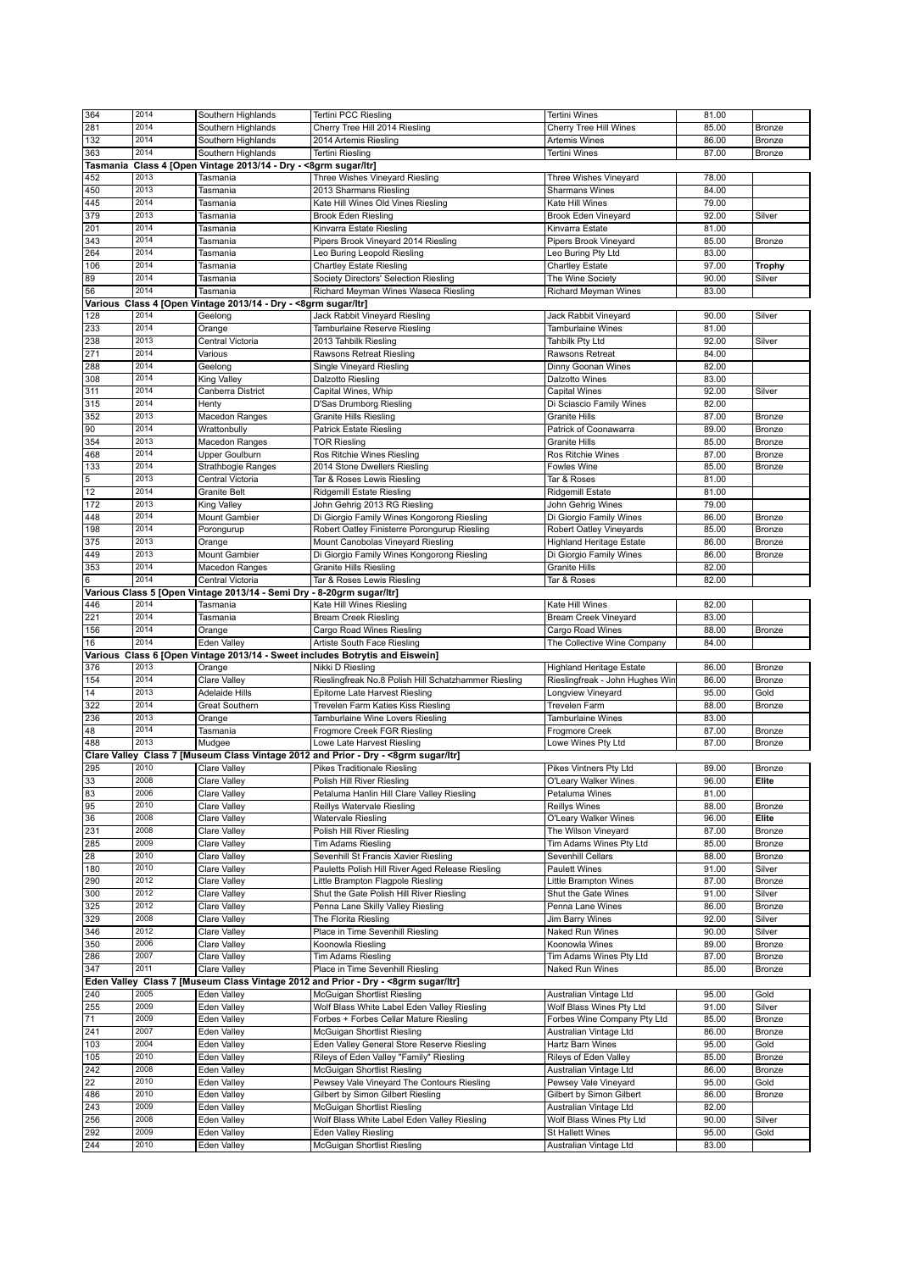| 364             | 2014         | Southern Highlands                                                    | Tertini PCC Riesling                                                                | Tertini Wines                              | 81.00          |               |
|-----------------|--------------|-----------------------------------------------------------------------|-------------------------------------------------------------------------------------|--------------------------------------------|----------------|---------------|
| 281             | 2014         | Southern Highlands                                                    | Cherry Tree Hill 2014 Riesling                                                      | Cherry Tree Hill Wines                     | 85.00          |               |
|                 |              |                                                                       |                                                                                     |                                            |                | Bronze        |
| 132             | 2014         | Southern Highlands                                                    | 2014 Artemis Riesling                                                               | <b>Artemis Wines</b>                       | 86.00          | Bronze        |
| 363             | 2014         | Southern Highlands                                                    | <b>Tertini Riesling</b>                                                             | <b>Tertini Wines</b>                       | 87.00          | Bronze        |
|                 |              | Tasmania Class 4 [Open Vintage 2013/14 - Dry - <8grm sugar/ltr]       |                                                                                     |                                            |                |               |
| 452             | 2013         | Tasmania                                                              | Three Wishes Vineyard Riesling                                                      | Three Wishes Vineyard                      | 78.00          |               |
| 450             | 2013         | Tasmania                                                              | 2013 Sharmans Riesling                                                              | <b>Sharmans Wines</b>                      | 84.00          |               |
| 445             | 2014         | Tasmania                                                              | Kate Hill Wines Old Vines Riesling                                                  | Kate Hill Wines                            | 79.00          |               |
| 379             | 2013         | Tasmania                                                              | <b>Brook Eden Riesling</b>                                                          | Brook Eden Vineyard                        | 92.00          | Silver        |
| 201             | 2014         | Tasmania                                                              |                                                                                     | Kinvarra Estate                            | 81.00          |               |
|                 |              |                                                                       | Kinvarra Estate Riesling                                                            |                                            |                |               |
| 343             | 2014         | Tasmania                                                              | Pipers Brook Vineyard 2014 Riesling                                                 | Pipers Brook Vineyard                      | 85.00          | <b>Bronze</b> |
| 264             | 2014         | Tasmania                                                              | Leo Buring Leopold Riesling                                                         | Leo Buring Pty Ltd                         | 83.00          |               |
| 106             | 2014         | Tasmania                                                              | <b>Chartley Estate Riesling</b>                                                     | <b>Chartley Estate</b>                     | 97.00          | <b>Trophy</b> |
| 89              | 2014         | Tasmania                                                              | Society Directors' Selection Riesling                                               | The Wine Society                           | 90.00          | Silver        |
| 56              | 2014         | Tasmania                                                              | Richard Meyman Wines Waseca Riesling                                                | Richard Meyman Wines                       | 83.00          |               |
|                 |              | Various Class 4 [Open Vintage 2013/14 - Dry - < 8grm sugar/ltr]       |                                                                                     |                                            |                |               |
|                 |              |                                                                       |                                                                                     |                                            |                |               |
| 128             | 2014         | Geelong                                                               | Jack Rabbit Vineyard Riesling                                                       | Jack Rabbit Vineyard                       | 90.00          | Silver        |
| 233             | 2014         | Orange                                                                | Tamburlaine Reserve Riesling                                                        | Tamburlaine Wines                          | 81.00          |               |
| 238             | 2013         | Central Victoria                                                      | 2013 Tahbilk Riesling                                                               | Tahbilk Pty Ltd                            | 92.00          | Silver        |
| 271             | 2014         | Various                                                               | Rawsons Retreat Riesling                                                            | Rawsons Retreat                            | 84.00          |               |
| 288             | 2014         | Geelong                                                               | Single Vineyard Riesling                                                            | Dinny Goonan Wines                         | 82.00          |               |
| 308             | 2014         | King Valley                                                           | Dalzotto Riesling                                                                   | <b>Dalzotto Wines</b>                      | 83.00          |               |
|                 | 2014         |                                                                       |                                                                                     |                                            |                |               |
| 311             |              | Canberra District                                                     | Capital Wines, Whip                                                                 | Capital Wines                              | 92.00          | Silver        |
| 315             | 2014         | Henty                                                                 | D'Sas Drumborg Riesling                                                             | Di Sciascio Family Wines                   | 82.00          |               |
| 352             | 2013         | Macedon Ranges                                                        | <b>Granite Hills Riesling</b>                                                       | <b>Granite Hills</b>                       | 87.00          | Bronze        |
| 90              | 2014         | Wrattonbully                                                          | <b>Patrick Estate Riesling</b>                                                      | Patrick of Coonawarra                      | 89.00          | Bronze        |
| 354             | 2013         | Macedon Ranges                                                        | <b>TOR Riesling</b>                                                                 | <b>Granite Hills</b>                       | 85.00          | Bronze        |
| 468             | 2014         | Upper Goulburn                                                        | Ros Ritchie Wines Riesling                                                          | Ros Ritchie Wines                          | 87.00          | Bronze        |
|                 | 2014         |                                                                       |                                                                                     |                                            |                |               |
| 133             |              | Strathbogie Ranges                                                    | 2014 Stone Dwellers Riesling                                                        | Fowles Wine                                | 85.00          | Bronze        |
| $\overline{5}$  | 2013         | Central Victoria                                                      | Tar & Roses Lewis Riesling                                                          | Tar & Roses                                | 81.00          |               |
| 12              | 2014         | <b>Granite Belt</b>                                                   | Ridgemill Estate Riesling                                                           | Ridgemill Estate                           | 81.00          |               |
| 172             | 2013         | King Valley                                                           | John Gehrig 2013 RG Riesling                                                        | John Gehrig Wines                          | 79.00          |               |
| 448             | 2014         | <b>Mount Gambier</b>                                                  | Di Giorgio Family Wines Kongorong Riesling                                          | Di Giorgio Family Wines                    | 86.00          | Bronze        |
| 198             | 2014         | Porongurup                                                            | Robert Oatley Finisterre Porongurup Riesling                                        | Robert Oatley Vineyards                    | 85.00          | Bronze        |
|                 | 2013         |                                                                       |                                                                                     |                                            | 86.00          | <b>Bronze</b> |
| 375             |              | Orange                                                                | Mount Canobolas Vineyard Riesling                                                   | <b>Highland Heritage Estate</b>            |                |               |
| 449             | 2013         | Mount Gambier                                                         | Di Giorgio Family Wines Kongorong Riesling                                          | Di Giorgio Family Wines                    | 86.00          | Bronze        |
| 353             | 2014         | Macedon Ranges                                                        | <b>Granite Hills Riesling</b>                                                       | <b>Granite Hills</b>                       | 82.00          |               |
| 6               | 2014         | Central Victoria                                                      | Tar & Roses Lewis Riesling                                                          | Tar & Roses                                | 82.00          |               |
|                 |              | Various Class 5 [Open Vintage 2013/14 - Semi Dry - 8-20grm sugar/ltr] |                                                                                     |                                            |                |               |
| 446             | 2014         | Tasmania                                                              | Kate Hill Wines Riesling                                                            | Kate Hill Wines                            | 82.00          |               |
| 221             | 2014         | Tasmania                                                              |                                                                                     | Bream Creek Vineyard                       | 83.00          |               |
| 156             | 2014         |                                                                       | <b>Bream Creek Riesling</b>                                                         |                                            |                |               |
|                 |              |                                                                       |                                                                                     |                                            |                |               |
|                 |              | Orange                                                                | Cargo Road Wines Riesling                                                           | Cargo Road Wines                           | 88.00          | Bronze        |
| 16              | 2014         | <b>Eden Valley</b>                                                    | Artiste South Face Riesling                                                         | The Collective Wine Company                | 84.00          |               |
|                 |              |                                                                       | Various Class 6 [Open Vintage 2013/14 - Sweet includes Botrytis and Eiswein]        |                                            |                |               |
| 376             | 2013         |                                                                       | Nikki D Riesling                                                                    | <b>Highland Heritage Estate</b>            | 86.00          | Bronze        |
|                 | 2014         | Orange                                                                |                                                                                     |                                            |                |               |
| 154             |              | Clare Valley                                                          | Rieslingfreak No.8 Polish Hill Schatzhammer Riesling                                | Rieslingfreak - John Hughes Win            | 86.00          | <b>Bronze</b> |
| 14              | 2013         | <b>Adelaide Hills</b>                                                 | Epitome Late Harvest Riesling                                                       | Longview Vineyard                          | 95.00          | Gold          |
| 322             | 2014         | <b>Great Southern</b>                                                 | Trevelen Farm Katies Kiss Riesling                                                  | <b>Trevelen Farm</b>                       | 88.00          | Bronze        |
| 236             | 2013         | Orange                                                                | Tamburlaine Wine Lovers Riesling                                                    | Tamburlaine Wines                          | 83.00          |               |
| 48              | 2014         | Tasmania                                                              | Frogmore Creek FGR Riesling                                                         | Frogmore Creek                             | 87.00          | Bronze        |
| 488             | 2013         | Mudgee                                                                | Lowe Late Harvest Riesling                                                          | Lowe Wines Pty Ltd                         | 87.00          | Bronze        |
|                 |              |                                                                       |                                                                                     |                                            |                |               |
|                 |              |                                                                       | Clare Valley Class 7 [Museum Class Vintage 2012 and Prior - Dry - < 8grm sugar/ltr] |                                            |                |               |
| 295             | 2010         | Clare Valley                                                          | Pikes Traditionale Riesling                                                         | Pikes Vintners Pty Ltd                     | 89.00          | Bronze        |
| 33              | 2008         | Clare Valley                                                          | Polish Hill River Riesling                                                          | O'Leary Walker Wines                       | 96.00          | Elite         |
| $\overline{83}$ | 2006         | Clare Valley                                                          | Petaluma Hanlin Hill Clare Valley Riesling                                          | Petaluma Wines                             | 81.00          |               |
| 95              | 2010         | Clare Valley                                                          | Reillys Watervale Riesling                                                          | Reillys Wines                              | 88.00          | Bronze        |
| 36              | 2008         | Clare Valley                                                          | <b>Watervale Riesling</b>                                                           | O'Leary Walker Wines                       | 96.00          | Elite         |
| 231             | 2008         | Clare Valley                                                          | Polish Hill River Riesling                                                          | The Wilson Vineyard                        | 87.00          | Bronze        |
| 285             | 2009         | Clare Valley                                                          | <b>Tim Adams Riesling</b>                                                           | Tim Adams Wines Pty Ltd                    | 85.00          | Bronze        |
|                 | 2010         |                                                                       |                                                                                     |                                            |                |               |
| 28              |              | Clare Valley                                                          | Sevenhill St Francis Xavier Riesling                                                | Sevenhill Cellars                          | 88.00          | Bronze        |
| 180             | 2010         | Clare Valley                                                          | Pauletts Polish Hill River Aged Release Riesling                                    | <b>Paulett Wines</b>                       | 91.00          | Silver        |
| 290             | 2012         | Clare Valley                                                          | Little Brampton Flagpole Riesling                                                   | Little Brampton Wines                      | 87.00          | Bronze        |
| 300             | 2012         | Clare Valley                                                          | Shut the Gate Polish Hill River Riesling                                            | Shut the Gate Wines                        | 91.00          | Silver        |
| 325             | 2012         | Clare Valley                                                          | Penna Lane Skilly Valley Riesling                                                   | Penna Lane Wines                           | 86.00          | <b>Bronze</b> |
| 329             | 2008         | Clare Valley                                                          | The Florita Riesling                                                                | Jim Barry Wines                            | 92.00          | Silver        |
| 346             | 2012         | <b>Clare Valley</b>                                                   | Place in Time Sevenhill Riesling                                                    | Naked Run Wines                            | 90.00          | Silver        |
|                 | 2006         |                                                                       |                                                                                     | Koonowla Wines                             |                |               |
| 350             |              | Clare Valley                                                          | Koonowla Riesling                                                                   |                                            | 89.00          | Bronze        |
| 286             | 2007         | Clare Valley                                                          | <b>Tim Adams Riesling</b>                                                           | Tim Adams Wines Pty Ltd                    | 87.00          | Bronze        |
| 347             | 2011         | Clare Valley                                                          | Place in Time Sevenhill Riesling                                                    | Naked Run Wines                            | 85.00          | Bronze        |
|                 |              |                                                                       | Eden Valley Class 7 [Museum Class Vintage 2012 and Prior - Dry - < 8grm sugar/ltr]  |                                            |                |               |
| 240             | 2005         | Eden Valley                                                           | McGuigan Shortlist Riesling                                                         | Australian Vintage Ltd                     | 95.00          | Gold          |
| 255             | 2009         | Eden Valley                                                           | Wolf Blass White Label Eden Valley Riesling                                         | Wolf Blass Wines Pty Ltd                   | 91.00          | Silver        |
|                 | 2009         |                                                                       |                                                                                     |                                            |                |               |
| 71              |              | Eden Valley                                                           | Forbes + Forbes Cellar Mature Riesling                                              | Forbes Wine Company Pty Ltd                | 85.00          | Bronze        |
| 241             | 2007         | Eden Valley                                                           | McGuigan Shortlist Riesling                                                         | Australian Vintage Ltd                     | 86.00          | Bronze        |
| 103             | 2004         | Eden Valley                                                           | Eden Valley General Store Reserve Riesling                                          | Hartz Barn Wines                           | 95.00          | Gold          |
| 105             | 2010         | Eden Valley                                                           | Rileys of Eden Valley "Family" Riesling                                             | Rileys of Eden Valley                      | 85.00          | <b>Bronze</b> |
| 242             | 2008         | Eden Valley                                                           | McGuigan Shortlist Riesling                                                         | Australian Vintage Ltd                     | 86.00          | <b>Bronze</b> |
| 22              | 2010         | Eden Valley                                                           | Pewsey Vale Vineyard The Contours Riesling                                          | Pewsey Vale Vineyard                       | 95.00          | Gold          |
|                 | 2010         |                                                                       |                                                                                     |                                            |                |               |
| 486             |              | Eden Valley                                                           | Gilbert by Simon Gilbert Riesling                                                   | Gilbert by Simon Gilbert                   | 86.00          | <b>Bronze</b> |
| 243             | 2009         | Eden Valley                                                           | McGuigan Shortlist Riesling                                                         | Australian Vintage Ltd                     | 82.00          |               |
| 256             | 2008         | Eden Valley                                                           | Wolf Blass White Label Eden Valley Riesling                                         | Wolf Blass Wines Pty Ltd                   | 90.00          | Silver        |
| 292<br>244      | 2009<br>2010 | Eden Valley<br>Eden Valley                                            | Eden Valley Riesling<br>McGuigan Shortlist Riesling                                 | St Hallett Wines<br>Australian Vintage Ltd | 95.00<br>83.00 | Gold          |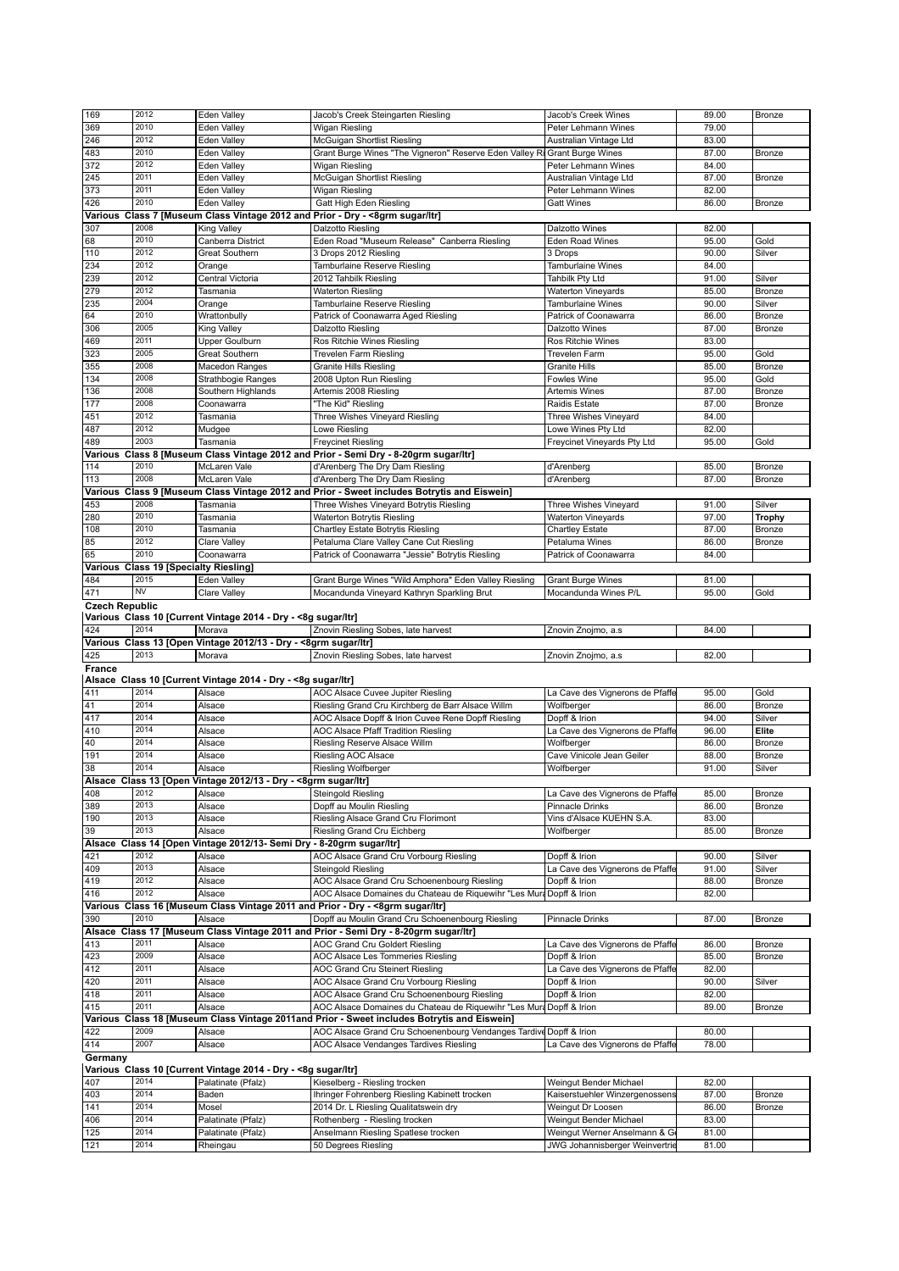| 2010<br>Eden Valley<br>Wigan Riesling<br>Peter Lehmann Wines<br>79.00<br>2012<br>246<br>Eden Valley<br>McGuigan Shortlist Riesling<br>83.00<br>Australian Vintage Ltd<br>483<br>2010<br>Eden Valley<br>Grant Burge Wines "The Vigneron" Reserve Eden Valley Ri Grant Burge Wines<br>87.00<br>Bronze<br>2012<br>372<br>Eden Valley<br>84.00<br>Wigan Riesling<br>Peter Lehmann Wines<br>245<br>2011<br>Eden Valley<br>87.00<br>McGuigan Shortlist Riesling<br>Australian Vintage Ltd<br>Bronze<br>373<br>2011<br>Eden Valley<br><b>Wigan Riesling</b><br>82.00<br>Peter Lehmann Wines<br>2010<br>426<br>Eden Valley<br>Gatt High Eden Riesling<br>86.00<br><b>Gatt Wines</b><br>Bronze<br>Various Class 7 [Museum Class Vintage 2012 and Prior - Dry - < 8grm sugar/ltr]<br>307<br>2008<br>Dalzotto Wines<br><b>King Valley</b><br>Dalzotto Riesling<br>82.00<br>2010<br>68<br>Canberra District<br>Eden Road "Museum Release" Canberra Riesling<br>Eden Road Wines<br>95.00<br>Gold<br>110<br>2012<br>90.00<br><b>Great Southern</b><br>3 Drops 2012 Riesling<br>3 Drops<br>Silver<br>234<br>2012<br><b>Tamburlaine Wines</b><br>84.00<br>Orange<br>Tamburlaine Reserve Riesling<br>2012<br>Tahbilk Pty Ltd<br>91.00<br>Central Victoria<br>2012 Tahbilk Riesling<br>Silver<br>2012<br><b>Waterton Vineyards</b><br>85.00<br><b>Bronze</b><br>Tasmania<br><b>Waterton Riesling</b><br>2004<br><b>Tamburlaine Wines</b><br>90.00<br>Silver<br>Orange<br>Tamburlaine Reserve Riesling<br>2010<br>86.00<br>Wrattonbully<br>Patrick of Coonawarra Aged Riesling<br>Patrick of Coonawarra<br>Bronze<br>2005<br>87.00<br><b>King Valley</b><br>Dalzotto Riesling<br>Dalzotto Wines<br>Bronze<br>2011<br>83.00<br>Upper Goulburn<br>Ros Ritchie Wines Riesling<br>Ros Ritchie Wines<br>323<br>2005<br>Great Southern<br><b>Trevelen Farm Riesling</b><br>95.00<br>Gold<br><b>Trevelen Farm</b><br>2008<br>355<br><b>Macedon Ranges</b><br><b>Granite Hills Riesling</b><br><b>Granite Hills</b><br>85.00<br>Bronze<br>2008<br>134<br>95.00<br>Strathbogie Ranges<br>2008 Upton Run Riesling<br>Fowles Wine<br>Gold<br>2008<br>136<br>Artemis 2008 Riesling<br>Artemis Wines<br>87.00<br>Bronze<br>Southern Highlands<br>2008<br>177<br>87.00<br>"The Kid" Riesling<br>Raidis Estate<br>Coonawarra<br>Bronze<br>2012<br>451<br>Three Wishes Vineyard Riesling<br>Three Wishes Vineyard<br>84.00<br>Tasmania<br>2012<br>487<br>82.00<br>Mudgee<br>Lowe Riesling<br>Lowe Wines Pty Ltd<br>2003<br><b>Freycinet Riesling</b><br>Freycinet Vineyards Pty Ltd<br>95.00<br>Tasmania<br>Gold<br>Various Class 8 [Museum Class Vintage 2012 and Prior - Semi Dry - 8-20grm sugar/ltr]<br>2010<br>McLaren Vale<br>d'Arenberg The Dry Dam Riesling<br>85.00<br>d'Arenberg<br>Bronze<br>2008<br>McLaren Vale<br>87.00<br>d'Arenberg The Dry Dam Riesling<br>d'Arenberg<br>Bronze<br>Various Class 9 [Museum Class Vintage 2012 and Prior - Sweet includes Botrytis and Eiswein]<br>2008<br>Tasmania<br>Three Wishes Vineyard Botrytis Riesling<br>Three Wishes Vineyard<br>91.00<br>Silver<br>2010<br>280<br>Waterton Botrytis Riesling<br><b>Waterton Vineyards</b><br>97.00<br><b>Trophy</b><br>Tasmania<br>2010<br>108<br>Chartley Estate Botrytis Riesling<br>87.00<br>Tasmania<br><b>Chartley Estate</b><br>Bronze<br>2012<br>85<br>86.00<br>Clare Valley<br>Petaluma Clare Valley Cane Cut Riesling<br>Petaluma Wines<br>Bronze<br>2010<br>65<br>Coonawarra<br>Patrick of Coonawarra<br>84.00<br>Patrick of Coonawarra "Jessie" Botrytis Riesling<br>Various Class 19 [Specialty Riesling]<br>484<br>2015<br>Grant Burge Wines "Wild Amphora" Eden Valley Riesling<br>Eden Valley<br><b>Grant Burge Wines</b><br>81.00<br><b>NV</b><br>471<br>95.00<br>Clare Valley<br>Mocandunda Vineyard Kathryn Sparkling Brut<br>Mocandunda Wines P/L<br>Gold<br><b>Czech Republic</b><br>Various Class 10 [Current Vintage 2014 - Dry - < 8g sugar/ltr]<br>2014<br>Znovin Riesling Sobes, late harvest<br>84.00<br>Morava<br>Znovin Znojmo, a.s<br>Various Class 13 [Open Vintage 2012/13 - Dry - < 8grm sugar/ltr]<br>2013<br>Morava<br>Znovin Riesling Sobes, late harvest<br>Znovin Znojmo, a.s.<br>82.00<br>Alsace Class 10 [Current Vintage 2014 - Dry - < 8g sugar/ltr]<br>2014<br>AOC Alsace Cuvee Jupiter Riesling<br>La Cave des Vignerons de Pfaffe<br>95.00<br>Gold<br>Alsace<br>2014<br>Riesling Grand Cru Kirchberg de Barr Alsace Willm<br>86.00<br>Bronze<br>Alsace<br>Wolfberger<br>2014<br>Alsace<br>AOC Alsace Dopff & Irion Cuvee Rene Dopff Riesling<br>Dopff & Irion<br>94.00<br>Silver<br>2014<br>La Cave des Vignerons de Pfaffe<br>AOC Alsace Pfaff Tradition Riesling<br>96.00<br>Elite<br>Alsace<br>2014<br>Riesling Reserve Alsace Willm<br>86.00<br>Alsace<br>Wolfberger<br>Bronze<br>2014<br>88.00<br>Alsace<br>Riesling AOC Alsace<br>Cave Vinicole Jean Geiler<br>Bronze<br>2014<br>Alsace<br>91.00<br>Riesling Wolfberger<br>Wolfberger<br>Silver<br>Alsace Class 13 [Open Vintage 2012/13 - Dry - <8grm sugar/ltr]<br>2012<br><b>Steingold Riesling</b><br>La Cave des Vignerons de Pfaffe<br>85.00<br>Alsace<br>Bronze<br>2013<br>Dopff au Moulin Riesling<br>86.00<br>Alsace<br>Pinnacle Drinks<br>Bronze<br>2013<br>Vins d'Alsace KUEHN S.A.<br>83.00<br>Alsace<br>Riesling Alsace Grand Cru Florimont<br>2013<br>Alsace<br>Riesling Grand Cru Eichberg<br>Wolfberger<br>85.00<br>Bronze<br>Alsace Class 14 [Open Vintage 2012/13- Semi Dry - 8-20grm sugar/ltr]<br>2012<br>AOC Alsace Grand Cru Vorbourg Riesling<br>Dopff & Irion<br>90.00<br>Alsace<br>Silver<br>2013<br>La Cave des Vignerons de Pfaffe<br>Alsace<br>Steingold Riesling<br>91.00<br>Silver<br>2012<br>AOC Alsace Grand Cru Schoenenbourg Riesling<br>Dopff & Irion<br>Alsace<br>88.00<br>Bronze<br>2012<br>AOC Alsace Domaines du Chateau de Riquewihr "Les Mura Dopff & Irion<br>Alsace<br>82.00<br>Various Class 16 [Museum Class Vintage 2011 and Prior - Dry - <8grm sugar/ltr]<br>2010<br>Dopff au Moulin Grand Cru Schoenenbourg Riesling<br><b>Pinnacle Drinks</b><br>87.00<br>Bronze<br>Alsace<br>Alsace Class 17 [Museum Class Vintage 2011 and Prior - Semi Dry - 8-20grm sugar/ltr]<br>2011<br>AOC Grand Cru Goldert Riesling<br>La Cave des Vignerons de Pfaffe<br>Alsace<br>86.00<br>Bronze<br>2009<br>85.00<br>Alsace<br>AOC Alsace Les Tommeries Riesling<br>Dopff & Irion<br>Bronze<br>2011<br>La Cave des Vignerons de Pfaffe<br>82.00<br>Alsace<br>AOC Grand Cru Steinert Riesling<br>2011<br>Alsace<br>AOC Alsace Grand Cru Vorbourg Riesling<br>Dopff & Irion<br>90.00<br>Silver<br>2011<br>AOC Alsace Grand Cru Schoenenbourg Riesling<br>Dopff & Irion<br>82.00<br>Alsace<br>2011<br>Alsace<br>AOC Alsace Domaines du Chateau de Riquewihr "Les Mura Dopff & Irion<br>89.00<br>Bronze<br>Various Class 18 [Museum Class Vintage 2011and Prior - Sweet includes Botrytis and Eiswein]<br>2009<br>Alsace<br>AOC Alsace Grand Cru Schoenenbourg Vendanges Tardive Dopff & Irion<br>80.00<br>2007<br>Alsace<br>La Cave des Vignerons de Pfaffe<br>78.00<br>AOC Alsace Vendanges Tardives Riesling<br>Various Class 10 [Current Vintage 2014 - Dry - <8g sugar/ltr]<br>407<br>2014<br>82.00<br>Palatinate (Pfalz)<br>Kieselberg - Riesling trocken<br>Weingut Bender Michael | 169           | 2012 | Eden Valley | Jacob's Creek Steingarten Riesling | Jacob's Creek Wines | 89.00 | Bronze |
|-------------------------------------------------------------------------------------------------------------------------------------------------------------------------------------------------------------------------------------------------------------------------------------------------------------------------------------------------------------------------------------------------------------------------------------------------------------------------------------------------------------------------------------------------------------------------------------------------------------------------------------------------------------------------------------------------------------------------------------------------------------------------------------------------------------------------------------------------------------------------------------------------------------------------------------------------------------------------------------------------------------------------------------------------------------------------------------------------------------------------------------------------------------------------------------------------------------------------------------------------------------------------------------------------------------------------------------------------------------------------------------------------------------------------------------------------------------------------------------------------------------------------------------------------------------------------------------------------------------------------------------------------------------------------------------------------------------------------------------------------------------------------------------------------------------------------------------------------------------------------------------------------------------------------------------------------------------------------------------------------------------------------------------------------------------------------------------------------------------------------------------------------------------------------------------------------------------------------------------------------------------------------------------------------------------------------------------------------------------------------------------------------------------------------------------------------------------------------------------------------------------------------------------------------------------------------------------------------------------------------------------------------------------------------------------------------------------------------------------------------------------------------------------------------------------------------------------------------------------------------------------------------------------------------------------------------------------------------------------------------------------------------------------------------------------------------------------------------------------------------------------------------------------------------------------------------------------------------------------------------------------------------------------------------------------------------------------------------------------------------------------------------------------------------------------------------------------------------------------------------------------------------------------------------------------------------------------------------------------------------------------------------------------------------------------------------------------------------------------------------------------------------------------------------------------------------------------------------------------------------------------------------------------------------------------------------------------------------------------------------------------------------------------------------------------------------------------------------------------------------------------------------------------------------------------------------------------------------------------------------------------------------------------------------------------------------------------------------------------------------------------------------------------------------------------------------------------------------------------------------------------------------------------------------------------------------------------------------------------------------------------------------------------------------------------------------------------------------------------------------------------------------------------------------------------------------------------------------------------------------------------------------------------------------------------------------------------------------------------------------------------------------------------------------------------------------------------------------------------------------------------------------------------------------------------------------------------------------------------------------------------------------------------------------------------------------------------------------------------------------------------------------------------------------------------------------------------------------------------------------------------------------------------------------------------------------------------------------------------------------------------------------------------------------------------------------------------------------------------------------------------------------------------------------------------------------------------------------------------------------------------------------------------------------------------------------------------------------------------------------------------------------------------------------------------------------------------------------------------------------------------------------------------------------------------------------------------------------------------------------------------------------------------------------------------------------------------------------------------------------------------------------------------------------------------------------------------------------------------------------------------------------------------------------------------------------------------------------------------------------------------------------------------------------------------------------------------------------------------------------------------------------------------------------------------------------------------------------------------------------------------------------------------------------------------------------------------------------------------------------------------------------------------------------------------------------------------------------------------------------------------------------------------------------------------------------------------------------------------------------------------------------------|---------------|------|-------------|------------------------------------|---------------------|-------|--------|
|                                                                                                                                                                                                                                                                                                                                                                                                                                                                                                                                                                                                                                                                                                                                                                                                                                                                                                                                                                                                                                                                                                                                                                                                                                                                                                                                                                                                                                                                                                                                                                                                                                                                                                                                                                                                                                                                                                                                                                                                                                                                                                                                                                                                                                                                                                                                                                                                                                                                                                                                                                                                                                                                                                                                                                                                                                                                                                                                                                                                                                                                                                                                                                                                                                                                                                                                                                                                                                                                                                                                                                                                                                                                                                                                                                                                                                                                                                                                                                                                                                                                                                                                                                                                                                                                                                                                                                                                                                                                                                                                                                                                                                                                                                                                                                                                                                                                                                                                                                                                                                                                                                                                                                                                                                                                                                                                                                                                                                                                                                                                                                                                                                                                                                                                                                                                                                                                                                                                                                                                                                                                                                                                                                                                                                                                                                                                                                                                                                                                                                                                                                                                                                                                                                                                                                                                                                                                                                                                                                                                                                                                                                                                                                                                                                                                               | 369           |      |             |                                    |                     |       |        |
|                                                                                                                                                                                                                                                                                                                                                                                                                                                                                                                                                                                                                                                                                                                                                                                                                                                                                                                                                                                                                                                                                                                                                                                                                                                                                                                                                                                                                                                                                                                                                                                                                                                                                                                                                                                                                                                                                                                                                                                                                                                                                                                                                                                                                                                                                                                                                                                                                                                                                                                                                                                                                                                                                                                                                                                                                                                                                                                                                                                                                                                                                                                                                                                                                                                                                                                                                                                                                                                                                                                                                                                                                                                                                                                                                                                                                                                                                                                                                                                                                                                                                                                                                                                                                                                                                                                                                                                                                                                                                                                                                                                                                                                                                                                                                                                                                                                                                                                                                                                                                                                                                                                                                                                                                                                                                                                                                                                                                                                                                                                                                                                                                                                                                                                                                                                                                                                                                                                                                                                                                                                                                                                                                                                                                                                                                                                                                                                                                                                                                                                                                                                                                                                                                                                                                                                                                                                                                                                                                                                                                                                                                                                                                                                                                                                                               |               |      |             |                                    |                     |       |        |
|                                                                                                                                                                                                                                                                                                                                                                                                                                                                                                                                                                                                                                                                                                                                                                                                                                                                                                                                                                                                                                                                                                                                                                                                                                                                                                                                                                                                                                                                                                                                                                                                                                                                                                                                                                                                                                                                                                                                                                                                                                                                                                                                                                                                                                                                                                                                                                                                                                                                                                                                                                                                                                                                                                                                                                                                                                                                                                                                                                                                                                                                                                                                                                                                                                                                                                                                                                                                                                                                                                                                                                                                                                                                                                                                                                                                                                                                                                                                                                                                                                                                                                                                                                                                                                                                                                                                                                                                                                                                                                                                                                                                                                                                                                                                                                                                                                                                                                                                                                                                                                                                                                                                                                                                                                                                                                                                                                                                                                                                                                                                                                                                                                                                                                                                                                                                                                                                                                                                                                                                                                                                                                                                                                                                                                                                                                                                                                                                                                                                                                                                                                                                                                                                                                                                                                                                                                                                                                                                                                                                                                                                                                                                                                                                                                                                               |               |      |             |                                    |                     |       |        |
|                                                                                                                                                                                                                                                                                                                                                                                                                                                                                                                                                                                                                                                                                                                                                                                                                                                                                                                                                                                                                                                                                                                                                                                                                                                                                                                                                                                                                                                                                                                                                                                                                                                                                                                                                                                                                                                                                                                                                                                                                                                                                                                                                                                                                                                                                                                                                                                                                                                                                                                                                                                                                                                                                                                                                                                                                                                                                                                                                                                                                                                                                                                                                                                                                                                                                                                                                                                                                                                                                                                                                                                                                                                                                                                                                                                                                                                                                                                                                                                                                                                                                                                                                                                                                                                                                                                                                                                                                                                                                                                                                                                                                                                                                                                                                                                                                                                                                                                                                                                                                                                                                                                                                                                                                                                                                                                                                                                                                                                                                                                                                                                                                                                                                                                                                                                                                                                                                                                                                                                                                                                                                                                                                                                                                                                                                                                                                                                                                                                                                                                                                                                                                                                                                                                                                                                                                                                                                                                                                                                                                                                                                                                                                                                                                                                                               |               |      |             |                                    |                     |       |        |
|                                                                                                                                                                                                                                                                                                                                                                                                                                                                                                                                                                                                                                                                                                                                                                                                                                                                                                                                                                                                                                                                                                                                                                                                                                                                                                                                                                                                                                                                                                                                                                                                                                                                                                                                                                                                                                                                                                                                                                                                                                                                                                                                                                                                                                                                                                                                                                                                                                                                                                                                                                                                                                                                                                                                                                                                                                                                                                                                                                                                                                                                                                                                                                                                                                                                                                                                                                                                                                                                                                                                                                                                                                                                                                                                                                                                                                                                                                                                                                                                                                                                                                                                                                                                                                                                                                                                                                                                                                                                                                                                                                                                                                                                                                                                                                                                                                                                                                                                                                                                                                                                                                                                                                                                                                                                                                                                                                                                                                                                                                                                                                                                                                                                                                                                                                                                                                                                                                                                                                                                                                                                                                                                                                                                                                                                                                                                                                                                                                                                                                                                                                                                                                                                                                                                                                                                                                                                                                                                                                                                                                                                                                                                                                                                                                                                               |               |      |             |                                    |                     |       |        |
|                                                                                                                                                                                                                                                                                                                                                                                                                                                                                                                                                                                                                                                                                                                                                                                                                                                                                                                                                                                                                                                                                                                                                                                                                                                                                                                                                                                                                                                                                                                                                                                                                                                                                                                                                                                                                                                                                                                                                                                                                                                                                                                                                                                                                                                                                                                                                                                                                                                                                                                                                                                                                                                                                                                                                                                                                                                                                                                                                                                                                                                                                                                                                                                                                                                                                                                                                                                                                                                                                                                                                                                                                                                                                                                                                                                                                                                                                                                                                                                                                                                                                                                                                                                                                                                                                                                                                                                                                                                                                                                                                                                                                                                                                                                                                                                                                                                                                                                                                                                                                                                                                                                                                                                                                                                                                                                                                                                                                                                                                                                                                                                                                                                                                                                                                                                                                                                                                                                                                                                                                                                                                                                                                                                                                                                                                                                                                                                                                                                                                                                                                                                                                                                                                                                                                                                                                                                                                                                                                                                                                                                                                                                                                                                                                                                                               |               |      |             |                                    |                     |       |        |
|                                                                                                                                                                                                                                                                                                                                                                                                                                                                                                                                                                                                                                                                                                                                                                                                                                                                                                                                                                                                                                                                                                                                                                                                                                                                                                                                                                                                                                                                                                                                                                                                                                                                                                                                                                                                                                                                                                                                                                                                                                                                                                                                                                                                                                                                                                                                                                                                                                                                                                                                                                                                                                                                                                                                                                                                                                                                                                                                                                                                                                                                                                                                                                                                                                                                                                                                                                                                                                                                                                                                                                                                                                                                                                                                                                                                                                                                                                                                                                                                                                                                                                                                                                                                                                                                                                                                                                                                                                                                                                                                                                                                                                                                                                                                                                                                                                                                                                                                                                                                                                                                                                                                                                                                                                                                                                                                                                                                                                                                                                                                                                                                                                                                                                                                                                                                                                                                                                                                                                                                                                                                                                                                                                                                                                                                                                                                                                                                                                                                                                                                                                                                                                                                                                                                                                                                                                                                                                                                                                                                                                                                                                                                                                                                                                                                               |               |      |             |                                    |                     |       |        |
|                                                                                                                                                                                                                                                                                                                                                                                                                                                                                                                                                                                                                                                                                                                                                                                                                                                                                                                                                                                                                                                                                                                                                                                                                                                                                                                                                                                                                                                                                                                                                                                                                                                                                                                                                                                                                                                                                                                                                                                                                                                                                                                                                                                                                                                                                                                                                                                                                                                                                                                                                                                                                                                                                                                                                                                                                                                                                                                                                                                                                                                                                                                                                                                                                                                                                                                                                                                                                                                                                                                                                                                                                                                                                                                                                                                                                                                                                                                                                                                                                                                                                                                                                                                                                                                                                                                                                                                                                                                                                                                                                                                                                                                                                                                                                                                                                                                                                                                                                                                                                                                                                                                                                                                                                                                                                                                                                                                                                                                                                                                                                                                                                                                                                                                                                                                                                                                                                                                                                                                                                                                                                                                                                                                                                                                                                                                                                                                                                                                                                                                                                                                                                                                                                                                                                                                                                                                                                                                                                                                                                                                                                                                                                                                                                                                                               |               |      |             |                                    |                     |       |        |
|                                                                                                                                                                                                                                                                                                                                                                                                                                                                                                                                                                                                                                                                                                                                                                                                                                                                                                                                                                                                                                                                                                                                                                                                                                                                                                                                                                                                                                                                                                                                                                                                                                                                                                                                                                                                                                                                                                                                                                                                                                                                                                                                                                                                                                                                                                                                                                                                                                                                                                                                                                                                                                                                                                                                                                                                                                                                                                                                                                                                                                                                                                                                                                                                                                                                                                                                                                                                                                                                                                                                                                                                                                                                                                                                                                                                                                                                                                                                                                                                                                                                                                                                                                                                                                                                                                                                                                                                                                                                                                                                                                                                                                                                                                                                                                                                                                                                                                                                                                                                                                                                                                                                                                                                                                                                                                                                                                                                                                                                                                                                                                                                                                                                                                                                                                                                                                                                                                                                                                                                                                                                                                                                                                                                                                                                                                                                                                                                                                                                                                                                                                                                                                                                                                                                                                                                                                                                                                                                                                                                                                                                                                                                                                                                                                                                               |               |      |             |                                    |                     |       |        |
|                                                                                                                                                                                                                                                                                                                                                                                                                                                                                                                                                                                                                                                                                                                                                                                                                                                                                                                                                                                                                                                                                                                                                                                                                                                                                                                                                                                                                                                                                                                                                                                                                                                                                                                                                                                                                                                                                                                                                                                                                                                                                                                                                                                                                                                                                                                                                                                                                                                                                                                                                                                                                                                                                                                                                                                                                                                                                                                                                                                                                                                                                                                                                                                                                                                                                                                                                                                                                                                                                                                                                                                                                                                                                                                                                                                                                                                                                                                                                                                                                                                                                                                                                                                                                                                                                                                                                                                                                                                                                                                                                                                                                                                                                                                                                                                                                                                                                                                                                                                                                                                                                                                                                                                                                                                                                                                                                                                                                                                                                                                                                                                                                                                                                                                                                                                                                                                                                                                                                                                                                                                                                                                                                                                                                                                                                                                                                                                                                                                                                                                                                                                                                                                                                                                                                                                                                                                                                                                                                                                                                                                                                                                                                                                                                                                                               |               |      |             |                                    |                     |       |        |
|                                                                                                                                                                                                                                                                                                                                                                                                                                                                                                                                                                                                                                                                                                                                                                                                                                                                                                                                                                                                                                                                                                                                                                                                                                                                                                                                                                                                                                                                                                                                                                                                                                                                                                                                                                                                                                                                                                                                                                                                                                                                                                                                                                                                                                                                                                                                                                                                                                                                                                                                                                                                                                                                                                                                                                                                                                                                                                                                                                                                                                                                                                                                                                                                                                                                                                                                                                                                                                                                                                                                                                                                                                                                                                                                                                                                                                                                                                                                                                                                                                                                                                                                                                                                                                                                                                                                                                                                                                                                                                                                                                                                                                                                                                                                                                                                                                                                                                                                                                                                                                                                                                                                                                                                                                                                                                                                                                                                                                                                                                                                                                                                                                                                                                                                                                                                                                                                                                                                                                                                                                                                                                                                                                                                                                                                                                                                                                                                                                                                                                                                                                                                                                                                                                                                                                                                                                                                                                                                                                                                                                                                                                                                                                                                                                                                               |               |      |             |                                    |                     |       |        |
|                                                                                                                                                                                                                                                                                                                                                                                                                                                                                                                                                                                                                                                                                                                                                                                                                                                                                                                                                                                                                                                                                                                                                                                                                                                                                                                                                                                                                                                                                                                                                                                                                                                                                                                                                                                                                                                                                                                                                                                                                                                                                                                                                                                                                                                                                                                                                                                                                                                                                                                                                                                                                                                                                                                                                                                                                                                                                                                                                                                                                                                                                                                                                                                                                                                                                                                                                                                                                                                                                                                                                                                                                                                                                                                                                                                                                                                                                                                                                                                                                                                                                                                                                                                                                                                                                                                                                                                                                                                                                                                                                                                                                                                                                                                                                                                                                                                                                                                                                                                                                                                                                                                                                                                                                                                                                                                                                                                                                                                                                                                                                                                                                                                                                                                                                                                                                                                                                                                                                                                                                                                                                                                                                                                                                                                                                                                                                                                                                                                                                                                                                                                                                                                                                                                                                                                                                                                                                                                                                                                                                                                                                                                                                                                                                                                                               |               |      |             |                                    |                     |       |        |
|                                                                                                                                                                                                                                                                                                                                                                                                                                                                                                                                                                                                                                                                                                                                                                                                                                                                                                                                                                                                                                                                                                                                                                                                                                                                                                                                                                                                                                                                                                                                                                                                                                                                                                                                                                                                                                                                                                                                                                                                                                                                                                                                                                                                                                                                                                                                                                                                                                                                                                                                                                                                                                                                                                                                                                                                                                                                                                                                                                                                                                                                                                                                                                                                                                                                                                                                                                                                                                                                                                                                                                                                                                                                                                                                                                                                                                                                                                                                                                                                                                                                                                                                                                                                                                                                                                                                                                                                                                                                                                                                                                                                                                                                                                                                                                                                                                                                                                                                                                                                                                                                                                                                                                                                                                                                                                                                                                                                                                                                                                                                                                                                                                                                                                                                                                                                                                                                                                                                                                                                                                                                                                                                                                                                                                                                                                                                                                                                                                                                                                                                                                                                                                                                                                                                                                                                                                                                                                                                                                                                                                                                                                                                                                                                                                                                               |               |      |             |                                    |                     |       |        |
|                                                                                                                                                                                                                                                                                                                                                                                                                                                                                                                                                                                                                                                                                                                                                                                                                                                                                                                                                                                                                                                                                                                                                                                                                                                                                                                                                                                                                                                                                                                                                                                                                                                                                                                                                                                                                                                                                                                                                                                                                                                                                                                                                                                                                                                                                                                                                                                                                                                                                                                                                                                                                                                                                                                                                                                                                                                                                                                                                                                                                                                                                                                                                                                                                                                                                                                                                                                                                                                                                                                                                                                                                                                                                                                                                                                                                                                                                                                                                                                                                                                                                                                                                                                                                                                                                                                                                                                                                                                                                                                                                                                                                                                                                                                                                                                                                                                                                                                                                                                                                                                                                                                                                                                                                                                                                                                                                                                                                                                                                                                                                                                                                                                                                                                                                                                                                                                                                                                                                                                                                                                                                                                                                                                                                                                                                                                                                                                                                                                                                                                                                                                                                                                                                                                                                                                                                                                                                                                                                                                                                                                                                                                                                                                                                                                                               | 239           |      |             |                                    |                     |       |        |
|                                                                                                                                                                                                                                                                                                                                                                                                                                                                                                                                                                                                                                                                                                                                                                                                                                                                                                                                                                                                                                                                                                                                                                                                                                                                                                                                                                                                                                                                                                                                                                                                                                                                                                                                                                                                                                                                                                                                                                                                                                                                                                                                                                                                                                                                                                                                                                                                                                                                                                                                                                                                                                                                                                                                                                                                                                                                                                                                                                                                                                                                                                                                                                                                                                                                                                                                                                                                                                                                                                                                                                                                                                                                                                                                                                                                                                                                                                                                                                                                                                                                                                                                                                                                                                                                                                                                                                                                                                                                                                                                                                                                                                                                                                                                                                                                                                                                                                                                                                                                                                                                                                                                                                                                                                                                                                                                                                                                                                                                                                                                                                                                                                                                                                                                                                                                                                                                                                                                                                                                                                                                                                                                                                                                                                                                                                                                                                                                                                                                                                                                                                                                                                                                                                                                                                                                                                                                                                                                                                                                                                                                                                                                                                                                                                                                               | 279           |      |             |                                    |                     |       |        |
|                                                                                                                                                                                                                                                                                                                                                                                                                                                                                                                                                                                                                                                                                                                                                                                                                                                                                                                                                                                                                                                                                                                                                                                                                                                                                                                                                                                                                                                                                                                                                                                                                                                                                                                                                                                                                                                                                                                                                                                                                                                                                                                                                                                                                                                                                                                                                                                                                                                                                                                                                                                                                                                                                                                                                                                                                                                                                                                                                                                                                                                                                                                                                                                                                                                                                                                                                                                                                                                                                                                                                                                                                                                                                                                                                                                                                                                                                                                                                                                                                                                                                                                                                                                                                                                                                                                                                                                                                                                                                                                                                                                                                                                                                                                                                                                                                                                                                                                                                                                                                                                                                                                                                                                                                                                                                                                                                                                                                                                                                                                                                                                                                                                                                                                                                                                                                                                                                                                                                                                                                                                                                                                                                                                                                                                                                                                                                                                                                                                                                                                                                                                                                                                                                                                                                                                                                                                                                                                                                                                                                                                                                                                                                                                                                                                                               | 235           |      |             |                                    |                     |       |        |
|                                                                                                                                                                                                                                                                                                                                                                                                                                                                                                                                                                                                                                                                                                                                                                                                                                                                                                                                                                                                                                                                                                                                                                                                                                                                                                                                                                                                                                                                                                                                                                                                                                                                                                                                                                                                                                                                                                                                                                                                                                                                                                                                                                                                                                                                                                                                                                                                                                                                                                                                                                                                                                                                                                                                                                                                                                                                                                                                                                                                                                                                                                                                                                                                                                                                                                                                                                                                                                                                                                                                                                                                                                                                                                                                                                                                                                                                                                                                                                                                                                                                                                                                                                                                                                                                                                                                                                                                                                                                                                                                                                                                                                                                                                                                                                                                                                                                                                                                                                                                                                                                                                                                                                                                                                                                                                                                                                                                                                                                                                                                                                                                                                                                                                                                                                                                                                                                                                                                                                                                                                                                                                                                                                                                                                                                                                                                                                                                                                                                                                                                                                                                                                                                                                                                                                                                                                                                                                                                                                                                                                                                                                                                                                                                                                                                               | 64            |      |             |                                    |                     |       |        |
|                                                                                                                                                                                                                                                                                                                                                                                                                                                                                                                                                                                                                                                                                                                                                                                                                                                                                                                                                                                                                                                                                                                                                                                                                                                                                                                                                                                                                                                                                                                                                                                                                                                                                                                                                                                                                                                                                                                                                                                                                                                                                                                                                                                                                                                                                                                                                                                                                                                                                                                                                                                                                                                                                                                                                                                                                                                                                                                                                                                                                                                                                                                                                                                                                                                                                                                                                                                                                                                                                                                                                                                                                                                                                                                                                                                                                                                                                                                                                                                                                                                                                                                                                                                                                                                                                                                                                                                                                                                                                                                                                                                                                                                                                                                                                                                                                                                                                                                                                                                                                                                                                                                                                                                                                                                                                                                                                                                                                                                                                                                                                                                                                                                                                                                                                                                                                                                                                                                                                                                                                                                                                                                                                                                                                                                                                                                                                                                                                                                                                                                                                                                                                                                                                                                                                                                                                                                                                                                                                                                                                                                                                                                                                                                                                                                                               | 306           |      |             |                                    |                     |       |        |
|                                                                                                                                                                                                                                                                                                                                                                                                                                                                                                                                                                                                                                                                                                                                                                                                                                                                                                                                                                                                                                                                                                                                                                                                                                                                                                                                                                                                                                                                                                                                                                                                                                                                                                                                                                                                                                                                                                                                                                                                                                                                                                                                                                                                                                                                                                                                                                                                                                                                                                                                                                                                                                                                                                                                                                                                                                                                                                                                                                                                                                                                                                                                                                                                                                                                                                                                                                                                                                                                                                                                                                                                                                                                                                                                                                                                                                                                                                                                                                                                                                                                                                                                                                                                                                                                                                                                                                                                                                                                                                                                                                                                                                                                                                                                                                                                                                                                                                                                                                                                                                                                                                                                                                                                                                                                                                                                                                                                                                                                                                                                                                                                                                                                                                                                                                                                                                                                                                                                                                                                                                                                                                                                                                                                                                                                                                                                                                                                                                                                                                                                                                                                                                                                                                                                                                                                                                                                                                                                                                                                                                                                                                                                                                                                                                                                               | 469           |      |             |                                    |                     |       |        |
|                                                                                                                                                                                                                                                                                                                                                                                                                                                                                                                                                                                                                                                                                                                                                                                                                                                                                                                                                                                                                                                                                                                                                                                                                                                                                                                                                                                                                                                                                                                                                                                                                                                                                                                                                                                                                                                                                                                                                                                                                                                                                                                                                                                                                                                                                                                                                                                                                                                                                                                                                                                                                                                                                                                                                                                                                                                                                                                                                                                                                                                                                                                                                                                                                                                                                                                                                                                                                                                                                                                                                                                                                                                                                                                                                                                                                                                                                                                                                                                                                                                                                                                                                                                                                                                                                                                                                                                                                                                                                                                                                                                                                                                                                                                                                                                                                                                                                                                                                                                                                                                                                                                                                                                                                                                                                                                                                                                                                                                                                                                                                                                                                                                                                                                                                                                                                                                                                                                                                                                                                                                                                                                                                                                                                                                                                                                                                                                                                                                                                                                                                                                                                                                                                                                                                                                                                                                                                                                                                                                                                                                                                                                                                                                                                                                                               |               |      |             |                                    |                     |       |        |
|                                                                                                                                                                                                                                                                                                                                                                                                                                                                                                                                                                                                                                                                                                                                                                                                                                                                                                                                                                                                                                                                                                                                                                                                                                                                                                                                                                                                                                                                                                                                                                                                                                                                                                                                                                                                                                                                                                                                                                                                                                                                                                                                                                                                                                                                                                                                                                                                                                                                                                                                                                                                                                                                                                                                                                                                                                                                                                                                                                                                                                                                                                                                                                                                                                                                                                                                                                                                                                                                                                                                                                                                                                                                                                                                                                                                                                                                                                                                                                                                                                                                                                                                                                                                                                                                                                                                                                                                                                                                                                                                                                                                                                                                                                                                                                                                                                                                                                                                                                                                                                                                                                                                                                                                                                                                                                                                                                                                                                                                                                                                                                                                                                                                                                                                                                                                                                                                                                                                                                                                                                                                                                                                                                                                                                                                                                                                                                                                                                                                                                                                                                                                                                                                                                                                                                                                                                                                                                                                                                                                                                                                                                                                                                                                                                                                               |               |      |             |                                    |                     |       |        |
|                                                                                                                                                                                                                                                                                                                                                                                                                                                                                                                                                                                                                                                                                                                                                                                                                                                                                                                                                                                                                                                                                                                                                                                                                                                                                                                                                                                                                                                                                                                                                                                                                                                                                                                                                                                                                                                                                                                                                                                                                                                                                                                                                                                                                                                                                                                                                                                                                                                                                                                                                                                                                                                                                                                                                                                                                                                                                                                                                                                                                                                                                                                                                                                                                                                                                                                                                                                                                                                                                                                                                                                                                                                                                                                                                                                                                                                                                                                                                                                                                                                                                                                                                                                                                                                                                                                                                                                                                                                                                                                                                                                                                                                                                                                                                                                                                                                                                                                                                                                                                                                                                                                                                                                                                                                                                                                                                                                                                                                                                                                                                                                                                                                                                                                                                                                                                                                                                                                                                                                                                                                                                                                                                                                                                                                                                                                                                                                                                                                                                                                                                                                                                                                                                                                                                                                                                                                                                                                                                                                                                                                                                                                                                                                                                                                                               |               |      |             |                                    |                     |       |        |
|                                                                                                                                                                                                                                                                                                                                                                                                                                                                                                                                                                                                                                                                                                                                                                                                                                                                                                                                                                                                                                                                                                                                                                                                                                                                                                                                                                                                                                                                                                                                                                                                                                                                                                                                                                                                                                                                                                                                                                                                                                                                                                                                                                                                                                                                                                                                                                                                                                                                                                                                                                                                                                                                                                                                                                                                                                                                                                                                                                                                                                                                                                                                                                                                                                                                                                                                                                                                                                                                                                                                                                                                                                                                                                                                                                                                                                                                                                                                                                                                                                                                                                                                                                                                                                                                                                                                                                                                                                                                                                                                                                                                                                                                                                                                                                                                                                                                                                                                                                                                                                                                                                                                                                                                                                                                                                                                                                                                                                                                                                                                                                                                                                                                                                                                                                                                                                                                                                                                                                                                                                                                                                                                                                                                                                                                                                                                                                                                                                                                                                                                                                                                                                                                                                                                                                                                                                                                                                                                                                                                                                                                                                                                                                                                                                                                               |               |      |             |                                    |                     |       |        |
|                                                                                                                                                                                                                                                                                                                                                                                                                                                                                                                                                                                                                                                                                                                                                                                                                                                                                                                                                                                                                                                                                                                                                                                                                                                                                                                                                                                                                                                                                                                                                                                                                                                                                                                                                                                                                                                                                                                                                                                                                                                                                                                                                                                                                                                                                                                                                                                                                                                                                                                                                                                                                                                                                                                                                                                                                                                                                                                                                                                                                                                                                                                                                                                                                                                                                                                                                                                                                                                                                                                                                                                                                                                                                                                                                                                                                                                                                                                                                                                                                                                                                                                                                                                                                                                                                                                                                                                                                                                                                                                                                                                                                                                                                                                                                                                                                                                                                                                                                                                                                                                                                                                                                                                                                                                                                                                                                                                                                                                                                                                                                                                                                                                                                                                                                                                                                                                                                                                                                                                                                                                                                                                                                                                                                                                                                                                                                                                                                                                                                                                                                                                                                                                                                                                                                                                                                                                                                                                                                                                                                                                                                                                                                                                                                                                                               |               |      |             |                                    |                     |       |        |
|                                                                                                                                                                                                                                                                                                                                                                                                                                                                                                                                                                                                                                                                                                                                                                                                                                                                                                                                                                                                                                                                                                                                                                                                                                                                                                                                                                                                                                                                                                                                                                                                                                                                                                                                                                                                                                                                                                                                                                                                                                                                                                                                                                                                                                                                                                                                                                                                                                                                                                                                                                                                                                                                                                                                                                                                                                                                                                                                                                                                                                                                                                                                                                                                                                                                                                                                                                                                                                                                                                                                                                                                                                                                                                                                                                                                                                                                                                                                                                                                                                                                                                                                                                                                                                                                                                                                                                                                                                                                                                                                                                                                                                                                                                                                                                                                                                                                                                                                                                                                                                                                                                                                                                                                                                                                                                                                                                                                                                                                                                                                                                                                                                                                                                                                                                                                                                                                                                                                                                                                                                                                                                                                                                                                                                                                                                                                                                                                                                                                                                                                                                                                                                                                                                                                                                                                                                                                                                                                                                                                                                                                                                                                                                                                                                                                               |               |      |             |                                    |                     |       |        |
|                                                                                                                                                                                                                                                                                                                                                                                                                                                                                                                                                                                                                                                                                                                                                                                                                                                                                                                                                                                                                                                                                                                                                                                                                                                                                                                                                                                                                                                                                                                                                                                                                                                                                                                                                                                                                                                                                                                                                                                                                                                                                                                                                                                                                                                                                                                                                                                                                                                                                                                                                                                                                                                                                                                                                                                                                                                                                                                                                                                                                                                                                                                                                                                                                                                                                                                                                                                                                                                                                                                                                                                                                                                                                                                                                                                                                                                                                                                                                                                                                                                                                                                                                                                                                                                                                                                                                                                                                                                                                                                                                                                                                                                                                                                                                                                                                                                                                                                                                                                                                                                                                                                                                                                                                                                                                                                                                                                                                                                                                                                                                                                                                                                                                                                                                                                                                                                                                                                                                                                                                                                                                                                                                                                                                                                                                                                                                                                                                                                                                                                                                                                                                                                                                                                                                                                                                                                                                                                                                                                                                                                                                                                                                                                                                                                                               |               |      |             |                                    |                     |       |        |
|                                                                                                                                                                                                                                                                                                                                                                                                                                                                                                                                                                                                                                                                                                                                                                                                                                                                                                                                                                                                                                                                                                                                                                                                                                                                                                                                                                                                                                                                                                                                                                                                                                                                                                                                                                                                                                                                                                                                                                                                                                                                                                                                                                                                                                                                                                                                                                                                                                                                                                                                                                                                                                                                                                                                                                                                                                                                                                                                                                                                                                                                                                                                                                                                                                                                                                                                                                                                                                                                                                                                                                                                                                                                                                                                                                                                                                                                                                                                                                                                                                                                                                                                                                                                                                                                                                                                                                                                                                                                                                                                                                                                                                                                                                                                                                                                                                                                                                                                                                                                                                                                                                                                                                                                                                                                                                                                                                                                                                                                                                                                                                                                                                                                                                                                                                                                                                                                                                                                                                                                                                                                                                                                                                                                                                                                                                                                                                                                                                                                                                                                                                                                                                                                                                                                                                                                                                                                                                                                                                                                                                                                                                                                                                                                                                                                               |               |      |             |                                    |                     |       |        |
|                                                                                                                                                                                                                                                                                                                                                                                                                                                                                                                                                                                                                                                                                                                                                                                                                                                                                                                                                                                                                                                                                                                                                                                                                                                                                                                                                                                                                                                                                                                                                                                                                                                                                                                                                                                                                                                                                                                                                                                                                                                                                                                                                                                                                                                                                                                                                                                                                                                                                                                                                                                                                                                                                                                                                                                                                                                                                                                                                                                                                                                                                                                                                                                                                                                                                                                                                                                                                                                                                                                                                                                                                                                                                                                                                                                                                                                                                                                                                                                                                                                                                                                                                                                                                                                                                                                                                                                                                                                                                                                                                                                                                                                                                                                                                                                                                                                                                                                                                                                                                                                                                                                                                                                                                                                                                                                                                                                                                                                                                                                                                                                                                                                                                                                                                                                                                                                                                                                                                                                                                                                                                                                                                                                                                                                                                                                                                                                                                                                                                                                                                                                                                                                                                                                                                                                                                                                                                                                                                                                                                                                                                                                                                                                                                                                                               | 489           |      |             |                                    |                     |       |        |
|                                                                                                                                                                                                                                                                                                                                                                                                                                                                                                                                                                                                                                                                                                                                                                                                                                                                                                                                                                                                                                                                                                                                                                                                                                                                                                                                                                                                                                                                                                                                                                                                                                                                                                                                                                                                                                                                                                                                                                                                                                                                                                                                                                                                                                                                                                                                                                                                                                                                                                                                                                                                                                                                                                                                                                                                                                                                                                                                                                                                                                                                                                                                                                                                                                                                                                                                                                                                                                                                                                                                                                                                                                                                                                                                                                                                                                                                                                                                                                                                                                                                                                                                                                                                                                                                                                                                                                                                                                                                                                                                                                                                                                                                                                                                                                                                                                                                                                                                                                                                                                                                                                                                                                                                                                                                                                                                                                                                                                                                                                                                                                                                                                                                                                                                                                                                                                                                                                                                                                                                                                                                                                                                                                                                                                                                                                                                                                                                                                                                                                                                                                                                                                                                                                                                                                                                                                                                                                                                                                                                                                                                                                                                                                                                                                                                               |               |      |             |                                    |                     |       |        |
|                                                                                                                                                                                                                                                                                                                                                                                                                                                                                                                                                                                                                                                                                                                                                                                                                                                                                                                                                                                                                                                                                                                                                                                                                                                                                                                                                                                                                                                                                                                                                                                                                                                                                                                                                                                                                                                                                                                                                                                                                                                                                                                                                                                                                                                                                                                                                                                                                                                                                                                                                                                                                                                                                                                                                                                                                                                                                                                                                                                                                                                                                                                                                                                                                                                                                                                                                                                                                                                                                                                                                                                                                                                                                                                                                                                                                                                                                                                                                                                                                                                                                                                                                                                                                                                                                                                                                                                                                                                                                                                                                                                                                                                                                                                                                                                                                                                                                                                                                                                                                                                                                                                                                                                                                                                                                                                                                                                                                                                                                                                                                                                                                                                                                                                                                                                                                                                                                                                                                                                                                                                                                                                                                                                                                                                                                                                                                                                                                                                                                                                                                                                                                                                                                                                                                                                                                                                                                                                                                                                                                                                                                                                                                                                                                                                                               | 114           |      |             |                                    |                     |       |        |
|                                                                                                                                                                                                                                                                                                                                                                                                                                                                                                                                                                                                                                                                                                                                                                                                                                                                                                                                                                                                                                                                                                                                                                                                                                                                                                                                                                                                                                                                                                                                                                                                                                                                                                                                                                                                                                                                                                                                                                                                                                                                                                                                                                                                                                                                                                                                                                                                                                                                                                                                                                                                                                                                                                                                                                                                                                                                                                                                                                                                                                                                                                                                                                                                                                                                                                                                                                                                                                                                                                                                                                                                                                                                                                                                                                                                                                                                                                                                                                                                                                                                                                                                                                                                                                                                                                                                                                                                                                                                                                                                                                                                                                                                                                                                                                                                                                                                                                                                                                                                                                                                                                                                                                                                                                                                                                                                                                                                                                                                                                                                                                                                                                                                                                                                                                                                                                                                                                                                                                                                                                                                                                                                                                                                                                                                                                                                                                                                                                                                                                                                                                                                                                                                                                                                                                                                                                                                                                                                                                                                                                                                                                                                                                                                                                                                               | 113           |      |             |                                    |                     |       |        |
|                                                                                                                                                                                                                                                                                                                                                                                                                                                                                                                                                                                                                                                                                                                                                                                                                                                                                                                                                                                                                                                                                                                                                                                                                                                                                                                                                                                                                                                                                                                                                                                                                                                                                                                                                                                                                                                                                                                                                                                                                                                                                                                                                                                                                                                                                                                                                                                                                                                                                                                                                                                                                                                                                                                                                                                                                                                                                                                                                                                                                                                                                                                                                                                                                                                                                                                                                                                                                                                                                                                                                                                                                                                                                                                                                                                                                                                                                                                                                                                                                                                                                                                                                                                                                                                                                                                                                                                                                                                                                                                                                                                                                                                                                                                                                                                                                                                                                                                                                                                                                                                                                                                                                                                                                                                                                                                                                                                                                                                                                                                                                                                                                                                                                                                                                                                                                                                                                                                                                                                                                                                                                                                                                                                                                                                                                                                                                                                                                                                                                                                                                                                                                                                                                                                                                                                                                                                                                                                                                                                                                                                                                                                                                                                                                                                                               |               |      |             |                                    |                     |       |        |
|                                                                                                                                                                                                                                                                                                                                                                                                                                                                                                                                                                                                                                                                                                                                                                                                                                                                                                                                                                                                                                                                                                                                                                                                                                                                                                                                                                                                                                                                                                                                                                                                                                                                                                                                                                                                                                                                                                                                                                                                                                                                                                                                                                                                                                                                                                                                                                                                                                                                                                                                                                                                                                                                                                                                                                                                                                                                                                                                                                                                                                                                                                                                                                                                                                                                                                                                                                                                                                                                                                                                                                                                                                                                                                                                                                                                                                                                                                                                                                                                                                                                                                                                                                                                                                                                                                                                                                                                                                                                                                                                                                                                                                                                                                                                                                                                                                                                                                                                                                                                                                                                                                                                                                                                                                                                                                                                                                                                                                                                                                                                                                                                                                                                                                                                                                                                                                                                                                                                                                                                                                                                                                                                                                                                                                                                                                                                                                                                                                                                                                                                                                                                                                                                                                                                                                                                                                                                                                                                                                                                                                                                                                                                                                                                                                                                               | 453           |      |             |                                    |                     |       |        |
|                                                                                                                                                                                                                                                                                                                                                                                                                                                                                                                                                                                                                                                                                                                                                                                                                                                                                                                                                                                                                                                                                                                                                                                                                                                                                                                                                                                                                                                                                                                                                                                                                                                                                                                                                                                                                                                                                                                                                                                                                                                                                                                                                                                                                                                                                                                                                                                                                                                                                                                                                                                                                                                                                                                                                                                                                                                                                                                                                                                                                                                                                                                                                                                                                                                                                                                                                                                                                                                                                                                                                                                                                                                                                                                                                                                                                                                                                                                                                                                                                                                                                                                                                                                                                                                                                                                                                                                                                                                                                                                                                                                                                                                                                                                                                                                                                                                                                                                                                                                                                                                                                                                                                                                                                                                                                                                                                                                                                                                                                                                                                                                                                                                                                                                                                                                                                                                                                                                                                                                                                                                                                                                                                                                                                                                                                                                                                                                                                                                                                                                                                                                                                                                                                                                                                                                                                                                                                                                                                                                                                                                                                                                                                                                                                                                                               |               |      |             |                                    |                     |       |        |
|                                                                                                                                                                                                                                                                                                                                                                                                                                                                                                                                                                                                                                                                                                                                                                                                                                                                                                                                                                                                                                                                                                                                                                                                                                                                                                                                                                                                                                                                                                                                                                                                                                                                                                                                                                                                                                                                                                                                                                                                                                                                                                                                                                                                                                                                                                                                                                                                                                                                                                                                                                                                                                                                                                                                                                                                                                                                                                                                                                                                                                                                                                                                                                                                                                                                                                                                                                                                                                                                                                                                                                                                                                                                                                                                                                                                                                                                                                                                                                                                                                                                                                                                                                                                                                                                                                                                                                                                                                                                                                                                                                                                                                                                                                                                                                                                                                                                                                                                                                                                                                                                                                                                                                                                                                                                                                                                                                                                                                                                                                                                                                                                                                                                                                                                                                                                                                                                                                                                                                                                                                                                                                                                                                                                                                                                                                                                                                                                                                                                                                                                                                                                                                                                                                                                                                                                                                                                                                                                                                                                                                                                                                                                                                                                                                                                               |               |      |             |                                    |                     |       |        |
|                                                                                                                                                                                                                                                                                                                                                                                                                                                                                                                                                                                                                                                                                                                                                                                                                                                                                                                                                                                                                                                                                                                                                                                                                                                                                                                                                                                                                                                                                                                                                                                                                                                                                                                                                                                                                                                                                                                                                                                                                                                                                                                                                                                                                                                                                                                                                                                                                                                                                                                                                                                                                                                                                                                                                                                                                                                                                                                                                                                                                                                                                                                                                                                                                                                                                                                                                                                                                                                                                                                                                                                                                                                                                                                                                                                                                                                                                                                                                                                                                                                                                                                                                                                                                                                                                                                                                                                                                                                                                                                                                                                                                                                                                                                                                                                                                                                                                                                                                                                                                                                                                                                                                                                                                                                                                                                                                                                                                                                                                                                                                                                                                                                                                                                                                                                                                                                                                                                                                                                                                                                                                                                                                                                                                                                                                                                                                                                                                                                                                                                                                                                                                                                                                                                                                                                                                                                                                                                                                                                                                                                                                                                                                                                                                                                                               |               |      |             |                                    |                     |       |        |
|                                                                                                                                                                                                                                                                                                                                                                                                                                                                                                                                                                                                                                                                                                                                                                                                                                                                                                                                                                                                                                                                                                                                                                                                                                                                                                                                                                                                                                                                                                                                                                                                                                                                                                                                                                                                                                                                                                                                                                                                                                                                                                                                                                                                                                                                                                                                                                                                                                                                                                                                                                                                                                                                                                                                                                                                                                                                                                                                                                                                                                                                                                                                                                                                                                                                                                                                                                                                                                                                                                                                                                                                                                                                                                                                                                                                                                                                                                                                                                                                                                                                                                                                                                                                                                                                                                                                                                                                                                                                                                                                                                                                                                                                                                                                                                                                                                                                                                                                                                                                                                                                                                                                                                                                                                                                                                                                                                                                                                                                                                                                                                                                                                                                                                                                                                                                                                                                                                                                                                                                                                                                                                                                                                                                                                                                                                                                                                                                                                                                                                                                                                                                                                                                                                                                                                                                                                                                                                                                                                                                                                                                                                                                                                                                                                                                               |               |      |             |                                    |                     |       |        |
|                                                                                                                                                                                                                                                                                                                                                                                                                                                                                                                                                                                                                                                                                                                                                                                                                                                                                                                                                                                                                                                                                                                                                                                                                                                                                                                                                                                                                                                                                                                                                                                                                                                                                                                                                                                                                                                                                                                                                                                                                                                                                                                                                                                                                                                                                                                                                                                                                                                                                                                                                                                                                                                                                                                                                                                                                                                                                                                                                                                                                                                                                                                                                                                                                                                                                                                                                                                                                                                                                                                                                                                                                                                                                                                                                                                                                                                                                                                                                                                                                                                                                                                                                                                                                                                                                                                                                                                                                                                                                                                                                                                                                                                                                                                                                                                                                                                                                                                                                                                                                                                                                                                                                                                                                                                                                                                                                                                                                                                                                                                                                                                                                                                                                                                                                                                                                                                                                                                                                                                                                                                                                                                                                                                                                                                                                                                                                                                                                                                                                                                                                                                                                                                                                                                                                                                                                                                                                                                                                                                                                                                                                                                                                                                                                                                                               |               |      |             |                                    |                     |       |        |
|                                                                                                                                                                                                                                                                                                                                                                                                                                                                                                                                                                                                                                                                                                                                                                                                                                                                                                                                                                                                                                                                                                                                                                                                                                                                                                                                                                                                                                                                                                                                                                                                                                                                                                                                                                                                                                                                                                                                                                                                                                                                                                                                                                                                                                                                                                                                                                                                                                                                                                                                                                                                                                                                                                                                                                                                                                                                                                                                                                                                                                                                                                                                                                                                                                                                                                                                                                                                                                                                                                                                                                                                                                                                                                                                                                                                                                                                                                                                                                                                                                                                                                                                                                                                                                                                                                                                                                                                                                                                                                                                                                                                                                                                                                                                                                                                                                                                                                                                                                                                                                                                                                                                                                                                                                                                                                                                                                                                                                                                                                                                                                                                                                                                                                                                                                                                                                                                                                                                                                                                                                                                                                                                                                                                                                                                                                                                                                                                                                                                                                                                                                                                                                                                                                                                                                                                                                                                                                                                                                                                                                                                                                                                                                                                                                                                               |               |      |             |                                    |                     |       |        |
|                                                                                                                                                                                                                                                                                                                                                                                                                                                                                                                                                                                                                                                                                                                                                                                                                                                                                                                                                                                                                                                                                                                                                                                                                                                                                                                                                                                                                                                                                                                                                                                                                                                                                                                                                                                                                                                                                                                                                                                                                                                                                                                                                                                                                                                                                                                                                                                                                                                                                                                                                                                                                                                                                                                                                                                                                                                                                                                                                                                                                                                                                                                                                                                                                                                                                                                                                                                                                                                                                                                                                                                                                                                                                                                                                                                                                                                                                                                                                                                                                                                                                                                                                                                                                                                                                                                                                                                                                                                                                                                                                                                                                                                                                                                                                                                                                                                                                                                                                                                                                                                                                                                                                                                                                                                                                                                                                                                                                                                                                                                                                                                                                                                                                                                                                                                                                                                                                                                                                                                                                                                                                                                                                                                                                                                                                                                                                                                                                                                                                                                                                                                                                                                                                                                                                                                                                                                                                                                                                                                                                                                                                                                                                                                                                                                                               |               |      |             |                                    |                     |       |        |
|                                                                                                                                                                                                                                                                                                                                                                                                                                                                                                                                                                                                                                                                                                                                                                                                                                                                                                                                                                                                                                                                                                                                                                                                                                                                                                                                                                                                                                                                                                                                                                                                                                                                                                                                                                                                                                                                                                                                                                                                                                                                                                                                                                                                                                                                                                                                                                                                                                                                                                                                                                                                                                                                                                                                                                                                                                                                                                                                                                                                                                                                                                                                                                                                                                                                                                                                                                                                                                                                                                                                                                                                                                                                                                                                                                                                                                                                                                                                                                                                                                                                                                                                                                                                                                                                                                                                                                                                                                                                                                                                                                                                                                                                                                                                                                                                                                                                                                                                                                                                                                                                                                                                                                                                                                                                                                                                                                                                                                                                                                                                                                                                                                                                                                                                                                                                                                                                                                                                                                                                                                                                                                                                                                                                                                                                                                                                                                                                                                                                                                                                                                                                                                                                                                                                                                                                                                                                                                                                                                                                                                                                                                                                                                                                                                                                               |               |      |             |                                    |                     |       |        |
|                                                                                                                                                                                                                                                                                                                                                                                                                                                                                                                                                                                                                                                                                                                                                                                                                                                                                                                                                                                                                                                                                                                                                                                                                                                                                                                                                                                                                                                                                                                                                                                                                                                                                                                                                                                                                                                                                                                                                                                                                                                                                                                                                                                                                                                                                                                                                                                                                                                                                                                                                                                                                                                                                                                                                                                                                                                                                                                                                                                                                                                                                                                                                                                                                                                                                                                                                                                                                                                                                                                                                                                                                                                                                                                                                                                                                                                                                                                                                                                                                                                                                                                                                                                                                                                                                                                                                                                                                                                                                                                                                                                                                                                                                                                                                                                                                                                                                                                                                                                                                                                                                                                                                                                                                                                                                                                                                                                                                                                                                                                                                                                                                                                                                                                                                                                                                                                                                                                                                                                                                                                                                                                                                                                                                                                                                                                                                                                                                                                                                                                                                                                                                                                                                                                                                                                                                                                                                                                                                                                                                                                                                                                                                                                                                                                                               |               |      |             |                                    |                     |       |        |
|                                                                                                                                                                                                                                                                                                                                                                                                                                                                                                                                                                                                                                                                                                                                                                                                                                                                                                                                                                                                                                                                                                                                                                                                                                                                                                                                                                                                                                                                                                                                                                                                                                                                                                                                                                                                                                                                                                                                                                                                                                                                                                                                                                                                                                                                                                                                                                                                                                                                                                                                                                                                                                                                                                                                                                                                                                                                                                                                                                                                                                                                                                                                                                                                                                                                                                                                                                                                                                                                                                                                                                                                                                                                                                                                                                                                                                                                                                                                                                                                                                                                                                                                                                                                                                                                                                                                                                                                                                                                                                                                                                                                                                                                                                                                                                                                                                                                                                                                                                                                                                                                                                                                                                                                                                                                                                                                                                                                                                                                                                                                                                                                                                                                                                                                                                                                                                                                                                                                                                                                                                                                                                                                                                                                                                                                                                                                                                                                                                                                                                                                                                                                                                                                                                                                                                                                                                                                                                                                                                                                                                                                                                                                                                                                                                                                               |               |      |             |                                    |                     |       |        |
|                                                                                                                                                                                                                                                                                                                                                                                                                                                                                                                                                                                                                                                                                                                                                                                                                                                                                                                                                                                                                                                                                                                                                                                                                                                                                                                                                                                                                                                                                                                                                                                                                                                                                                                                                                                                                                                                                                                                                                                                                                                                                                                                                                                                                                                                                                                                                                                                                                                                                                                                                                                                                                                                                                                                                                                                                                                                                                                                                                                                                                                                                                                                                                                                                                                                                                                                                                                                                                                                                                                                                                                                                                                                                                                                                                                                                                                                                                                                                                                                                                                                                                                                                                                                                                                                                                                                                                                                                                                                                                                                                                                                                                                                                                                                                                                                                                                                                                                                                                                                                                                                                                                                                                                                                                                                                                                                                                                                                                                                                                                                                                                                                                                                                                                                                                                                                                                                                                                                                                                                                                                                                                                                                                                                                                                                                                                                                                                                                                                                                                                                                                                                                                                                                                                                                                                                                                                                                                                                                                                                                                                                                                                                                                                                                                                                               |               |      |             |                                    |                     |       |        |
|                                                                                                                                                                                                                                                                                                                                                                                                                                                                                                                                                                                                                                                                                                                                                                                                                                                                                                                                                                                                                                                                                                                                                                                                                                                                                                                                                                                                                                                                                                                                                                                                                                                                                                                                                                                                                                                                                                                                                                                                                                                                                                                                                                                                                                                                                                                                                                                                                                                                                                                                                                                                                                                                                                                                                                                                                                                                                                                                                                                                                                                                                                                                                                                                                                                                                                                                                                                                                                                                                                                                                                                                                                                                                                                                                                                                                                                                                                                                                                                                                                                                                                                                                                                                                                                                                                                                                                                                                                                                                                                                                                                                                                                                                                                                                                                                                                                                                                                                                                                                                                                                                                                                                                                                                                                                                                                                                                                                                                                                                                                                                                                                                                                                                                                                                                                                                                                                                                                                                                                                                                                                                                                                                                                                                                                                                                                                                                                                                                                                                                                                                                                                                                                                                                                                                                                                                                                                                                                                                                                                                                                                                                                                                                                                                                                                               | 424           |      |             |                                    |                     |       |        |
|                                                                                                                                                                                                                                                                                                                                                                                                                                                                                                                                                                                                                                                                                                                                                                                                                                                                                                                                                                                                                                                                                                                                                                                                                                                                                                                                                                                                                                                                                                                                                                                                                                                                                                                                                                                                                                                                                                                                                                                                                                                                                                                                                                                                                                                                                                                                                                                                                                                                                                                                                                                                                                                                                                                                                                                                                                                                                                                                                                                                                                                                                                                                                                                                                                                                                                                                                                                                                                                                                                                                                                                                                                                                                                                                                                                                                                                                                                                                                                                                                                                                                                                                                                                                                                                                                                                                                                                                                                                                                                                                                                                                                                                                                                                                                                                                                                                                                                                                                                                                                                                                                                                                                                                                                                                                                                                                                                                                                                                                                                                                                                                                                                                                                                                                                                                                                                                                                                                                                                                                                                                                                                                                                                                                                                                                                                                                                                                                                                                                                                                                                                                                                                                                                                                                                                                                                                                                                                                                                                                                                                                                                                                                                                                                                                                                               |               |      |             |                                    |                     |       |        |
|                                                                                                                                                                                                                                                                                                                                                                                                                                                                                                                                                                                                                                                                                                                                                                                                                                                                                                                                                                                                                                                                                                                                                                                                                                                                                                                                                                                                                                                                                                                                                                                                                                                                                                                                                                                                                                                                                                                                                                                                                                                                                                                                                                                                                                                                                                                                                                                                                                                                                                                                                                                                                                                                                                                                                                                                                                                                                                                                                                                                                                                                                                                                                                                                                                                                                                                                                                                                                                                                                                                                                                                                                                                                                                                                                                                                                                                                                                                                                                                                                                                                                                                                                                                                                                                                                                                                                                                                                                                                                                                                                                                                                                                                                                                                                                                                                                                                                                                                                                                                                                                                                                                                                                                                                                                                                                                                                                                                                                                                                                                                                                                                                                                                                                                                                                                                                                                                                                                                                                                                                                                                                                                                                                                                                                                                                                                                                                                                                                                                                                                                                                                                                                                                                                                                                                                                                                                                                                                                                                                                                                                                                                                                                                                                                                                                               | 425           |      |             |                                    |                     |       |        |
|                                                                                                                                                                                                                                                                                                                                                                                                                                                                                                                                                                                                                                                                                                                                                                                                                                                                                                                                                                                                                                                                                                                                                                                                                                                                                                                                                                                                                                                                                                                                                                                                                                                                                                                                                                                                                                                                                                                                                                                                                                                                                                                                                                                                                                                                                                                                                                                                                                                                                                                                                                                                                                                                                                                                                                                                                                                                                                                                                                                                                                                                                                                                                                                                                                                                                                                                                                                                                                                                                                                                                                                                                                                                                                                                                                                                                                                                                                                                                                                                                                                                                                                                                                                                                                                                                                                                                                                                                                                                                                                                                                                                                                                                                                                                                                                                                                                                                                                                                                                                                                                                                                                                                                                                                                                                                                                                                                                                                                                                                                                                                                                                                                                                                                                                                                                                                                                                                                                                                                                                                                                                                                                                                                                                                                                                                                                                                                                                                                                                                                                                                                                                                                                                                                                                                                                                                                                                                                                                                                                                                                                                                                                                                                                                                                                                               | <b>France</b> |      |             |                                    |                     |       |        |
|                                                                                                                                                                                                                                                                                                                                                                                                                                                                                                                                                                                                                                                                                                                                                                                                                                                                                                                                                                                                                                                                                                                                                                                                                                                                                                                                                                                                                                                                                                                                                                                                                                                                                                                                                                                                                                                                                                                                                                                                                                                                                                                                                                                                                                                                                                                                                                                                                                                                                                                                                                                                                                                                                                                                                                                                                                                                                                                                                                                                                                                                                                                                                                                                                                                                                                                                                                                                                                                                                                                                                                                                                                                                                                                                                                                                                                                                                                                                                                                                                                                                                                                                                                                                                                                                                                                                                                                                                                                                                                                                                                                                                                                                                                                                                                                                                                                                                                                                                                                                                                                                                                                                                                                                                                                                                                                                                                                                                                                                                                                                                                                                                                                                                                                                                                                                                                                                                                                                                                                                                                                                                                                                                                                                                                                                                                                                                                                                                                                                                                                                                                                                                                                                                                                                                                                                                                                                                                                                                                                                                                                                                                                                                                                                                                                                               |               |      |             |                                    |                     |       |        |
|                                                                                                                                                                                                                                                                                                                                                                                                                                                                                                                                                                                                                                                                                                                                                                                                                                                                                                                                                                                                                                                                                                                                                                                                                                                                                                                                                                                                                                                                                                                                                                                                                                                                                                                                                                                                                                                                                                                                                                                                                                                                                                                                                                                                                                                                                                                                                                                                                                                                                                                                                                                                                                                                                                                                                                                                                                                                                                                                                                                                                                                                                                                                                                                                                                                                                                                                                                                                                                                                                                                                                                                                                                                                                                                                                                                                                                                                                                                                                                                                                                                                                                                                                                                                                                                                                                                                                                                                                                                                                                                                                                                                                                                                                                                                                                                                                                                                                                                                                                                                                                                                                                                                                                                                                                                                                                                                                                                                                                                                                                                                                                                                                                                                                                                                                                                                                                                                                                                                                                                                                                                                                                                                                                                                                                                                                                                                                                                                                                                                                                                                                                                                                                                                                                                                                                                                                                                                                                                                                                                                                                                                                                                                                                                                                                                                               | 411           |      |             |                                    |                     |       |        |
|                                                                                                                                                                                                                                                                                                                                                                                                                                                                                                                                                                                                                                                                                                                                                                                                                                                                                                                                                                                                                                                                                                                                                                                                                                                                                                                                                                                                                                                                                                                                                                                                                                                                                                                                                                                                                                                                                                                                                                                                                                                                                                                                                                                                                                                                                                                                                                                                                                                                                                                                                                                                                                                                                                                                                                                                                                                                                                                                                                                                                                                                                                                                                                                                                                                                                                                                                                                                                                                                                                                                                                                                                                                                                                                                                                                                                                                                                                                                                                                                                                                                                                                                                                                                                                                                                                                                                                                                                                                                                                                                                                                                                                                                                                                                                                                                                                                                                                                                                                                                                                                                                                                                                                                                                                                                                                                                                                                                                                                                                                                                                                                                                                                                                                                                                                                                                                                                                                                                                                                                                                                                                                                                                                                                                                                                                                                                                                                                                                                                                                                                                                                                                                                                                                                                                                                                                                                                                                                                                                                                                                                                                                                                                                                                                                                                               |               |      |             |                                    |                     |       |        |
|                                                                                                                                                                                                                                                                                                                                                                                                                                                                                                                                                                                                                                                                                                                                                                                                                                                                                                                                                                                                                                                                                                                                                                                                                                                                                                                                                                                                                                                                                                                                                                                                                                                                                                                                                                                                                                                                                                                                                                                                                                                                                                                                                                                                                                                                                                                                                                                                                                                                                                                                                                                                                                                                                                                                                                                                                                                                                                                                                                                                                                                                                                                                                                                                                                                                                                                                                                                                                                                                                                                                                                                                                                                                                                                                                                                                                                                                                                                                                                                                                                                                                                                                                                                                                                                                                                                                                                                                                                                                                                                                                                                                                                                                                                                                                                                                                                                                                                                                                                                                                                                                                                                                                                                                                                                                                                                                                                                                                                                                                                                                                                                                                                                                                                                                                                                                                                                                                                                                                                                                                                                                                                                                                                                                                                                                                                                                                                                                                                                                                                                                                                                                                                                                                                                                                                                                                                                                                                                                                                                                                                                                                                                                                                                                                                                                               | 41            |      |             |                                    |                     |       |        |
|                                                                                                                                                                                                                                                                                                                                                                                                                                                                                                                                                                                                                                                                                                                                                                                                                                                                                                                                                                                                                                                                                                                                                                                                                                                                                                                                                                                                                                                                                                                                                                                                                                                                                                                                                                                                                                                                                                                                                                                                                                                                                                                                                                                                                                                                                                                                                                                                                                                                                                                                                                                                                                                                                                                                                                                                                                                                                                                                                                                                                                                                                                                                                                                                                                                                                                                                                                                                                                                                                                                                                                                                                                                                                                                                                                                                                                                                                                                                                                                                                                                                                                                                                                                                                                                                                                                                                                                                                                                                                                                                                                                                                                                                                                                                                                                                                                                                                                                                                                                                                                                                                                                                                                                                                                                                                                                                                                                                                                                                                                                                                                                                                                                                                                                                                                                                                                                                                                                                                                                                                                                                                                                                                                                                                                                                                                                                                                                                                                                                                                                                                                                                                                                                                                                                                                                                                                                                                                                                                                                                                                                                                                                                                                                                                                                                               | 417           |      |             |                                    |                     |       |        |
|                                                                                                                                                                                                                                                                                                                                                                                                                                                                                                                                                                                                                                                                                                                                                                                                                                                                                                                                                                                                                                                                                                                                                                                                                                                                                                                                                                                                                                                                                                                                                                                                                                                                                                                                                                                                                                                                                                                                                                                                                                                                                                                                                                                                                                                                                                                                                                                                                                                                                                                                                                                                                                                                                                                                                                                                                                                                                                                                                                                                                                                                                                                                                                                                                                                                                                                                                                                                                                                                                                                                                                                                                                                                                                                                                                                                                                                                                                                                                                                                                                                                                                                                                                                                                                                                                                                                                                                                                                                                                                                                                                                                                                                                                                                                                                                                                                                                                                                                                                                                                                                                                                                                                                                                                                                                                                                                                                                                                                                                                                                                                                                                                                                                                                                                                                                                                                                                                                                                                                                                                                                                                                                                                                                                                                                                                                                                                                                                                                                                                                                                                                                                                                                                                                                                                                                                                                                                                                                                                                                                                                                                                                                                                                                                                                                                               | 410           |      |             |                                    |                     |       |        |
|                                                                                                                                                                                                                                                                                                                                                                                                                                                                                                                                                                                                                                                                                                                                                                                                                                                                                                                                                                                                                                                                                                                                                                                                                                                                                                                                                                                                                                                                                                                                                                                                                                                                                                                                                                                                                                                                                                                                                                                                                                                                                                                                                                                                                                                                                                                                                                                                                                                                                                                                                                                                                                                                                                                                                                                                                                                                                                                                                                                                                                                                                                                                                                                                                                                                                                                                                                                                                                                                                                                                                                                                                                                                                                                                                                                                                                                                                                                                                                                                                                                                                                                                                                                                                                                                                                                                                                                                                                                                                                                                                                                                                                                                                                                                                                                                                                                                                                                                                                                                                                                                                                                                                                                                                                                                                                                                                                                                                                                                                                                                                                                                                                                                                                                                                                                                                                                                                                                                                                                                                                                                                                                                                                                                                                                                                                                                                                                                                                                                                                                                                                                                                                                                                                                                                                                                                                                                                                                                                                                                                                                                                                                                                                                                                                                                               | 40            |      |             |                                    |                     |       |        |
|                                                                                                                                                                                                                                                                                                                                                                                                                                                                                                                                                                                                                                                                                                                                                                                                                                                                                                                                                                                                                                                                                                                                                                                                                                                                                                                                                                                                                                                                                                                                                                                                                                                                                                                                                                                                                                                                                                                                                                                                                                                                                                                                                                                                                                                                                                                                                                                                                                                                                                                                                                                                                                                                                                                                                                                                                                                                                                                                                                                                                                                                                                                                                                                                                                                                                                                                                                                                                                                                                                                                                                                                                                                                                                                                                                                                                                                                                                                                                                                                                                                                                                                                                                                                                                                                                                                                                                                                                                                                                                                                                                                                                                                                                                                                                                                                                                                                                                                                                                                                                                                                                                                                                                                                                                                                                                                                                                                                                                                                                                                                                                                                                                                                                                                                                                                                                                                                                                                                                                                                                                                                                                                                                                                                                                                                                                                                                                                                                                                                                                                                                                                                                                                                                                                                                                                                                                                                                                                                                                                                                                                                                                                                                                                                                                                                               | 191           |      |             |                                    |                     |       |        |
|                                                                                                                                                                                                                                                                                                                                                                                                                                                                                                                                                                                                                                                                                                                                                                                                                                                                                                                                                                                                                                                                                                                                                                                                                                                                                                                                                                                                                                                                                                                                                                                                                                                                                                                                                                                                                                                                                                                                                                                                                                                                                                                                                                                                                                                                                                                                                                                                                                                                                                                                                                                                                                                                                                                                                                                                                                                                                                                                                                                                                                                                                                                                                                                                                                                                                                                                                                                                                                                                                                                                                                                                                                                                                                                                                                                                                                                                                                                                                                                                                                                                                                                                                                                                                                                                                                                                                                                                                                                                                                                                                                                                                                                                                                                                                                                                                                                                                                                                                                                                                                                                                                                                                                                                                                                                                                                                                                                                                                                                                                                                                                                                                                                                                                                                                                                                                                                                                                                                                                                                                                                                                                                                                                                                                                                                                                                                                                                                                                                                                                                                                                                                                                                                                                                                                                                                                                                                                                                                                                                                                                                                                                                                                                                                                                                                               | 38            |      |             |                                    |                     |       |        |
|                                                                                                                                                                                                                                                                                                                                                                                                                                                                                                                                                                                                                                                                                                                                                                                                                                                                                                                                                                                                                                                                                                                                                                                                                                                                                                                                                                                                                                                                                                                                                                                                                                                                                                                                                                                                                                                                                                                                                                                                                                                                                                                                                                                                                                                                                                                                                                                                                                                                                                                                                                                                                                                                                                                                                                                                                                                                                                                                                                                                                                                                                                                                                                                                                                                                                                                                                                                                                                                                                                                                                                                                                                                                                                                                                                                                                                                                                                                                                                                                                                                                                                                                                                                                                                                                                                                                                                                                                                                                                                                                                                                                                                                                                                                                                                                                                                                                                                                                                                                                                                                                                                                                                                                                                                                                                                                                                                                                                                                                                                                                                                                                                                                                                                                                                                                                                                                                                                                                                                                                                                                                                                                                                                                                                                                                                                                                                                                                                                                                                                                                                                                                                                                                                                                                                                                                                                                                                                                                                                                                                                                                                                                                                                                                                                                                               |               |      |             |                                    |                     |       |        |
|                                                                                                                                                                                                                                                                                                                                                                                                                                                                                                                                                                                                                                                                                                                                                                                                                                                                                                                                                                                                                                                                                                                                                                                                                                                                                                                                                                                                                                                                                                                                                                                                                                                                                                                                                                                                                                                                                                                                                                                                                                                                                                                                                                                                                                                                                                                                                                                                                                                                                                                                                                                                                                                                                                                                                                                                                                                                                                                                                                                                                                                                                                                                                                                                                                                                                                                                                                                                                                                                                                                                                                                                                                                                                                                                                                                                                                                                                                                                                                                                                                                                                                                                                                                                                                                                                                                                                                                                                                                                                                                                                                                                                                                                                                                                                                                                                                                                                                                                                                                                                                                                                                                                                                                                                                                                                                                                                                                                                                                                                                                                                                                                                                                                                                                                                                                                                                                                                                                                                                                                                                                                                                                                                                                                                                                                                                                                                                                                                                                                                                                                                                                                                                                                                                                                                                                                                                                                                                                                                                                                                                                                                                                                                                                                                                                                               | 408           |      |             |                                    |                     |       |        |
|                                                                                                                                                                                                                                                                                                                                                                                                                                                                                                                                                                                                                                                                                                                                                                                                                                                                                                                                                                                                                                                                                                                                                                                                                                                                                                                                                                                                                                                                                                                                                                                                                                                                                                                                                                                                                                                                                                                                                                                                                                                                                                                                                                                                                                                                                                                                                                                                                                                                                                                                                                                                                                                                                                                                                                                                                                                                                                                                                                                                                                                                                                                                                                                                                                                                                                                                                                                                                                                                                                                                                                                                                                                                                                                                                                                                                                                                                                                                                                                                                                                                                                                                                                                                                                                                                                                                                                                                                                                                                                                                                                                                                                                                                                                                                                                                                                                                                                                                                                                                                                                                                                                                                                                                                                                                                                                                                                                                                                                                                                                                                                                                                                                                                                                                                                                                                                                                                                                                                                                                                                                                                                                                                                                                                                                                                                                                                                                                                                                                                                                                                                                                                                                                                                                                                                                                                                                                                                                                                                                                                                                                                                                                                                                                                                                                               |               |      |             |                                    |                     |       |        |
|                                                                                                                                                                                                                                                                                                                                                                                                                                                                                                                                                                                                                                                                                                                                                                                                                                                                                                                                                                                                                                                                                                                                                                                                                                                                                                                                                                                                                                                                                                                                                                                                                                                                                                                                                                                                                                                                                                                                                                                                                                                                                                                                                                                                                                                                                                                                                                                                                                                                                                                                                                                                                                                                                                                                                                                                                                                                                                                                                                                                                                                                                                                                                                                                                                                                                                                                                                                                                                                                                                                                                                                                                                                                                                                                                                                                                                                                                                                                                                                                                                                                                                                                                                                                                                                                                                                                                                                                                                                                                                                                                                                                                                                                                                                                                                                                                                                                                                                                                                                                                                                                                                                                                                                                                                                                                                                                                                                                                                                                                                                                                                                                                                                                                                                                                                                                                                                                                                                                                                                                                                                                                                                                                                                                                                                                                                                                                                                                                                                                                                                                                                                                                                                                                                                                                                                                                                                                                                                                                                                                                                                                                                                                                                                                                                                                               | 190           |      |             |                                    |                     |       |        |
|                                                                                                                                                                                                                                                                                                                                                                                                                                                                                                                                                                                                                                                                                                                                                                                                                                                                                                                                                                                                                                                                                                                                                                                                                                                                                                                                                                                                                                                                                                                                                                                                                                                                                                                                                                                                                                                                                                                                                                                                                                                                                                                                                                                                                                                                                                                                                                                                                                                                                                                                                                                                                                                                                                                                                                                                                                                                                                                                                                                                                                                                                                                                                                                                                                                                                                                                                                                                                                                                                                                                                                                                                                                                                                                                                                                                                                                                                                                                                                                                                                                                                                                                                                                                                                                                                                                                                                                                                                                                                                                                                                                                                                                                                                                                                                                                                                                                                                                                                                                                                                                                                                                                                                                                                                                                                                                                                                                                                                                                                                                                                                                                                                                                                                                                                                                                                                                                                                                                                                                                                                                                                                                                                                                                                                                                                                                                                                                                                                                                                                                                                                                                                                                                                                                                                                                                                                                                                                                                                                                                                                                                                                                                                                                                                                                                               | 39            |      |             |                                    |                     |       |        |
|                                                                                                                                                                                                                                                                                                                                                                                                                                                                                                                                                                                                                                                                                                                                                                                                                                                                                                                                                                                                                                                                                                                                                                                                                                                                                                                                                                                                                                                                                                                                                                                                                                                                                                                                                                                                                                                                                                                                                                                                                                                                                                                                                                                                                                                                                                                                                                                                                                                                                                                                                                                                                                                                                                                                                                                                                                                                                                                                                                                                                                                                                                                                                                                                                                                                                                                                                                                                                                                                                                                                                                                                                                                                                                                                                                                                                                                                                                                                                                                                                                                                                                                                                                                                                                                                                                                                                                                                                                                                                                                                                                                                                                                                                                                                                                                                                                                                                                                                                                                                                                                                                                                                                                                                                                                                                                                                                                                                                                                                                                                                                                                                                                                                                                                                                                                                                                                                                                                                                                                                                                                                                                                                                                                                                                                                                                                                                                                                                                                                                                                                                                                                                                                                                                                                                                                                                                                                                                                                                                                                                                                                                                                                                                                                                                                                               |               |      |             |                                    |                     |       |        |
|                                                                                                                                                                                                                                                                                                                                                                                                                                                                                                                                                                                                                                                                                                                                                                                                                                                                                                                                                                                                                                                                                                                                                                                                                                                                                                                                                                                                                                                                                                                                                                                                                                                                                                                                                                                                                                                                                                                                                                                                                                                                                                                                                                                                                                                                                                                                                                                                                                                                                                                                                                                                                                                                                                                                                                                                                                                                                                                                                                                                                                                                                                                                                                                                                                                                                                                                                                                                                                                                                                                                                                                                                                                                                                                                                                                                                                                                                                                                                                                                                                                                                                                                                                                                                                                                                                                                                                                                                                                                                                                                                                                                                                                                                                                                                                                                                                                                                                                                                                                                                                                                                                                                                                                                                                                                                                                                                                                                                                                                                                                                                                                                                                                                                                                                                                                                                                                                                                                                                                                                                                                                                                                                                                                                                                                                                                                                                                                                                                                                                                                                                                                                                                                                                                                                                                                                                                                                                                                                                                                                                                                                                                                                                                                                                                                                               | 421           |      |             |                                    |                     |       |        |
|                                                                                                                                                                                                                                                                                                                                                                                                                                                                                                                                                                                                                                                                                                                                                                                                                                                                                                                                                                                                                                                                                                                                                                                                                                                                                                                                                                                                                                                                                                                                                                                                                                                                                                                                                                                                                                                                                                                                                                                                                                                                                                                                                                                                                                                                                                                                                                                                                                                                                                                                                                                                                                                                                                                                                                                                                                                                                                                                                                                                                                                                                                                                                                                                                                                                                                                                                                                                                                                                                                                                                                                                                                                                                                                                                                                                                                                                                                                                                                                                                                                                                                                                                                                                                                                                                                                                                                                                                                                                                                                                                                                                                                                                                                                                                                                                                                                                                                                                                                                                                                                                                                                                                                                                                                                                                                                                                                                                                                                                                                                                                                                                                                                                                                                                                                                                                                                                                                                                                                                                                                                                                                                                                                                                                                                                                                                                                                                                                                                                                                                                                                                                                                                                                                                                                                                                                                                                                                                                                                                                                                                                                                                                                                                                                                                                               | 409           |      |             |                                    |                     |       |        |
|                                                                                                                                                                                                                                                                                                                                                                                                                                                                                                                                                                                                                                                                                                                                                                                                                                                                                                                                                                                                                                                                                                                                                                                                                                                                                                                                                                                                                                                                                                                                                                                                                                                                                                                                                                                                                                                                                                                                                                                                                                                                                                                                                                                                                                                                                                                                                                                                                                                                                                                                                                                                                                                                                                                                                                                                                                                                                                                                                                                                                                                                                                                                                                                                                                                                                                                                                                                                                                                                                                                                                                                                                                                                                                                                                                                                                                                                                                                                                                                                                                                                                                                                                                                                                                                                                                                                                                                                                                                                                                                                                                                                                                                                                                                                                                                                                                                                                                                                                                                                                                                                                                                                                                                                                                                                                                                                                                                                                                                                                                                                                                                                                                                                                                                                                                                                                                                                                                                                                                                                                                                                                                                                                                                                                                                                                                                                                                                                                                                                                                                                                                                                                                                                                                                                                                                                                                                                                                                                                                                                                                                                                                                                                                                                                                                                               | 389<br>419    |      |             |                                    |                     |       |        |
|                                                                                                                                                                                                                                                                                                                                                                                                                                                                                                                                                                                                                                                                                                                                                                                                                                                                                                                                                                                                                                                                                                                                                                                                                                                                                                                                                                                                                                                                                                                                                                                                                                                                                                                                                                                                                                                                                                                                                                                                                                                                                                                                                                                                                                                                                                                                                                                                                                                                                                                                                                                                                                                                                                                                                                                                                                                                                                                                                                                                                                                                                                                                                                                                                                                                                                                                                                                                                                                                                                                                                                                                                                                                                                                                                                                                                                                                                                                                                                                                                                                                                                                                                                                                                                                                                                                                                                                                                                                                                                                                                                                                                                                                                                                                                                                                                                                                                                                                                                                                                                                                                                                                                                                                                                                                                                                                                                                                                                                                                                                                                                                                                                                                                                                                                                                                                                                                                                                                                                                                                                                                                                                                                                                                                                                                                                                                                                                                                                                                                                                                                                                                                                                                                                                                                                                                                                                                                                                                                                                                                                                                                                                                                                                                                                                                               | 416           |      |             |                                    |                     |       |        |
|                                                                                                                                                                                                                                                                                                                                                                                                                                                                                                                                                                                                                                                                                                                                                                                                                                                                                                                                                                                                                                                                                                                                                                                                                                                                                                                                                                                                                                                                                                                                                                                                                                                                                                                                                                                                                                                                                                                                                                                                                                                                                                                                                                                                                                                                                                                                                                                                                                                                                                                                                                                                                                                                                                                                                                                                                                                                                                                                                                                                                                                                                                                                                                                                                                                                                                                                                                                                                                                                                                                                                                                                                                                                                                                                                                                                                                                                                                                                                                                                                                                                                                                                                                                                                                                                                                                                                                                                                                                                                                                                                                                                                                                                                                                                                                                                                                                                                                                                                                                                                                                                                                                                                                                                                                                                                                                                                                                                                                                                                                                                                                                                                                                                                                                                                                                                                                                                                                                                                                                                                                                                                                                                                                                                                                                                                                                                                                                                                                                                                                                                                                                                                                                                                                                                                                                                                                                                                                                                                                                                                                                                                                                                                                                                                                                                               |               |      |             |                                    |                     |       |        |
|                                                                                                                                                                                                                                                                                                                                                                                                                                                                                                                                                                                                                                                                                                                                                                                                                                                                                                                                                                                                                                                                                                                                                                                                                                                                                                                                                                                                                                                                                                                                                                                                                                                                                                                                                                                                                                                                                                                                                                                                                                                                                                                                                                                                                                                                                                                                                                                                                                                                                                                                                                                                                                                                                                                                                                                                                                                                                                                                                                                                                                                                                                                                                                                                                                                                                                                                                                                                                                                                                                                                                                                                                                                                                                                                                                                                                                                                                                                                                                                                                                                                                                                                                                                                                                                                                                                                                                                                                                                                                                                                                                                                                                                                                                                                                                                                                                                                                                                                                                                                                                                                                                                                                                                                                                                                                                                                                                                                                                                                                                                                                                                                                                                                                                                                                                                                                                                                                                                                                                                                                                                                                                                                                                                                                                                                                                                                                                                                                                                                                                                                                                                                                                                                                                                                                                                                                                                                                                                                                                                                                                                                                                                                                                                                                                                                               |               |      |             |                                    |                     |       |        |
|                                                                                                                                                                                                                                                                                                                                                                                                                                                                                                                                                                                                                                                                                                                                                                                                                                                                                                                                                                                                                                                                                                                                                                                                                                                                                                                                                                                                                                                                                                                                                                                                                                                                                                                                                                                                                                                                                                                                                                                                                                                                                                                                                                                                                                                                                                                                                                                                                                                                                                                                                                                                                                                                                                                                                                                                                                                                                                                                                                                                                                                                                                                                                                                                                                                                                                                                                                                                                                                                                                                                                                                                                                                                                                                                                                                                                                                                                                                                                                                                                                                                                                                                                                                                                                                                                                                                                                                                                                                                                                                                                                                                                                                                                                                                                                                                                                                                                                                                                                                                                                                                                                                                                                                                                                                                                                                                                                                                                                                                                                                                                                                                                                                                                                                                                                                                                                                                                                                                                                                                                                                                                                                                                                                                                                                                                                                                                                                                                                                                                                                                                                                                                                                                                                                                                                                                                                                                                                                                                                                                                                                                                                                                                                                                                                                                               | 390           |      |             |                                    |                     |       |        |
|                                                                                                                                                                                                                                                                                                                                                                                                                                                                                                                                                                                                                                                                                                                                                                                                                                                                                                                                                                                                                                                                                                                                                                                                                                                                                                                                                                                                                                                                                                                                                                                                                                                                                                                                                                                                                                                                                                                                                                                                                                                                                                                                                                                                                                                                                                                                                                                                                                                                                                                                                                                                                                                                                                                                                                                                                                                                                                                                                                                                                                                                                                                                                                                                                                                                                                                                                                                                                                                                                                                                                                                                                                                                                                                                                                                                                                                                                                                                                                                                                                                                                                                                                                                                                                                                                                                                                                                                                                                                                                                                                                                                                                                                                                                                                                                                                                                                                                                                                                                                                                                                                                                                                                                                                                                                                                                                                                                                                                                                                                                                                                                                                                                                                                                                                                                                                                                                                                                                                                                                                                                                                                                                                                                                                                                                                                                                                                                                                                                                                                                                                                                                                                                                                                                                                                                                                                                                                                                                                                                                                                                                                                                                                                                                                                                                               |               |      |             |                                    |                     |       |        |
|                                                                                                                                                                                                                                                                                                                                                                                                                                                                                                                                                                                                                                                                                                                                                                                                                                                                                                                                                                                                                                                                                                                                                                                                                                                                                                                                                                                                                                                                                                                                                                                                                                                                                                                                                                                                                                                                                                                                                                                                                                                                                                                                                                                                                                                                                                                                                                                                                                                                                                                                                                                                                                                                                                                                                                                                                                                                                                                                                                                                                                                                                                                                                                                                                                                                                                                                                                                                                                                                                                                                                                                                                                                                                                                                                                                                                                                                                                                                                                                                                                                                                                                                                                                                                                                                                                                                                                                                                                                                                                                                                                                                                                                                                                                                                                                                                                                                                                                                                                                                                                                                                                                                                                                                                                                                                                                                                                                                                                                                                                                                                                                                                                                                                                                                                                                                                                                                                                                                                                                                                                                                                                                                                                                                                                                                                                                                                                                                                                                                                                                                                                                                                                                                                                                                                                                                                                                                                                                                                                                                                                                                                                                                                                                                                                                                               |               |      |             |                                    |                     |       |        |
|                                                                                                                                                                                                                                                                                                                                                                                                                                                                                                                                                                                                                                                                                                                                                                                                                                                                                                                                                                                                                                                                                                                                                                                                                                                                                                                                                                                                                                                                                                                                                                                                                                                                                                                                                                                                                                                                                                                                                                                                                                                                                                                                                                                                                                                                                                                                                                                                                                                                                                                                                                                                                                                                                                                                                                                                                                                                                                                                                                                                                                                                                                                                                                                                                                                                                                                                                                                                                                                                                                                                                                                                                                                                                                                                                                                                                                                                                                                                                                                                                                                                                                                                                                                                                                                                                                                                                                                                                                                                                                                                                                                                                                                                                                                                                                                                                                                                                                                                                                                                                                                                                                                                                                                                                                                                                                                                                                                                                                                                                                                                                                                                                                                                                                                                                                                                                                                                                                                                                                                                                                                                                                                                                                                                                                                                                                                                                                                                                                                                                                                                                                                                                                                                                                                                                                                                                                                                                                                                                                                                                                                                                                                                                                                                                                                                               | 413<br>423    |      |             |                                    |                     |       |        |
|                                                                                                                                                                                                                                                                                                                                                                                                                                                                                                                                                                                                                                                                                                                                                                                                                                                                                                                                                                                                                                                                                                                                                                                                                                                                                                                                                                                                                                                                                                                                                                                                                                                                                                                                                                                                                                                                                                                                                                                                                                                                                                                                                                                                                                                                                                                                                                                                                                                                                                                                                                                                                                                                                                                                                                                                                                                                                                                                                                                                                                                                                                                                                                                                                                                                                                                                                                                                                                                                                                                                                                                                                                                                                                                                                                                                                                                                                                                                                                                                                                                                                                                                                                                                                                                                                                                                                                                                                                                                                                                                                                                                                                                                                                                                                                                                                                                                                                                                                                                                                                                                                                                                                                                                                                                                                                                                                                                                                                                                                                                                                                                                                                                                                                                                                                                                                                                                                                                                                                                                                                                                                                                                                                                                                                                                                                                                                                                                                                                                                                                                                                                                                                                                                                                                                                                                                                                                                                                                                                                                                                                                                                                                                                                                                                                                               | 412           |      |             |                                    |                     |       |        |
|                                                                                                                                                                                                                                                                                                                                                                                                                                                                                                                                                                                                                                                                                                                                                                                                                                                                                                                                                                                                                                                                                                                                                                                                                                                                                                                                                                                                                                                                                                                                                                                                                                                                                                                                                                                                                                                                                                                                                                                                                                                                                                                                                                                                                                                                                                                                                                                                                                                                                                                                                                                                                                                                                                                                                                                                                                                                                                                                                                                                                                                                                                                                                                                                                                                                                                                                                                                                                                                                                                                                                                                                                                                                                                                                                                                                                                                                                                                                                                                                                                                                                                                                                                                                                                                                                                                                                                                                                                                                                                                                                                                                                                                                                                                                                                                                                                                                                                                                                                                                                                                                                                                                                                                                                                                                                                                                                                                                                                                                                                                                                                                                                                                                                                                                                                                                                                                                                                                                                                                                                                                                                                                                                                                                                                                                                                                                                                                                                                                                                                                                                                                                                                                                                                                                                                                                                                                                                                                                                                                                                                                                                                                                                                                                                                                                               | 420           |      |             |                                    |                     |       |        |
|                                                                                                                                                                                                                                                                                                                                                                                                                                                                                                                                                                                                                                                                                                                                                                                                                                                                                                                                                                                                                                                                                                                                                                                                                                                                                                                                                                                                                                                                                                                                                                                                                                                                                                                                                                                                                                                                                                                                                                                                                                                                                                                                                                                                                                                                                                                                                                                                                                                                                                                                                                                                                                                                                                                                                                                                                                                                                                                                                                                                                                                                                                                                                                                                                                                                                                                                                                                                                                                                                                                                                                                                                                                                                                                                                                                                                                                                                                                                                                                                                                                                                                                                                                                                                                                                                                                                                                                                                                                                                                                                                                                                                                                                                                                                                                                                                                                                                                                                                                                                                                                                                                                                                                                                                                                                                                                                                                                                                                                                                                                                                                                                                                                                                                                                                                                                                                                                                                                                                                                                                                                                                                                                                                                                                                                                                                                                                                                                                                                                                                                                                                                                                                                                                                                                                                                                                                                                                                                                                                                                                                                                                                                                                                                                                                                                               | 418           |      |             |                                    |                     |       |        |
|                                                                                                                                                                                                                                                                                                                                                                                                                                                                                                                                                                                                                                                                                                                                                                                                                                                                                                                                                                                                                                                                                                                                                                                                                                                                                                                                                                                                                                                                                                                                                                                                                                                                                                                                                                                                                                                                                                                                                                                                                                                                                                                                                                                                                                                                                                                                                                                                                                                                                                                                                                                                                                                                                                                                                                                                                                                                                                                                                                                                                                                                                                                                                                                                                                                                                                                                                                                                                                                                                                                                                                                                                                                                                                                                                                                                                                                                                                                                                                                                                                                                                                                                                                                                                                                                                                                                                                                                                                                                                                                                                                                                                                                                                                                                                                                                                                                                                                                                                                                                                                                                                                                                                                                                                                                                                                                                                                                                                                                                                                                                                                                                                                                                                                                                                                                                                                                                                                                                                                                                                                                                                                                                                                                                                                                                                                                                                                                                                                                                                                                                                                                                                                                                                                                                                                                                                                                                                                                                                                                                                                                                                                                                                                                                                                                                               | 415           |      |             |                                    |                     |       |        |
|                                                                                                                                                                                                                                                                                                                                                                                                                                                                                                                                                                                                                                                                                                                                                                                                                                                                                                                                                                                                                                                                                                                                                                                                                                                                                                                                                                                                                                                                                                                                                                                                                                                                                                                                                                                                                                                                                                                                                                                                                                                                                                                                                                                                                                                                                                                                                                                                                                                                                                                                                                                                                                                                                                                                                                                                                                                                                                                                                                                                                                                                                                                                                                                                                                                                                                                                                                                                                                                                                                                                                                                                                                                                                                                                                                                                                                                                                                                                                                                                                                                                                                                                                                                                                                                                                                                                                                                                                                                                                                                                                                                                                                                                                                                                                                                                                                                                                                                                                                                                                                                                                                                                                                                                                                                                                                                                                                                                                                                                                                                                                                                                                                                                                                                                                                                                                                                                                                                                                                                                                                                                                                                                                                                                                                                                                                                                                                                                                                                                                                                                                                                                                                                                                                                                                                                                                                                                                                                                                                                                                                                                                                                                                                                                                                                                               |               |      |             |                                    |                     |       |        |
|                                                                                                                                                                                                                                                                                                                                                                                                                                                                                                                                                                                                                                                                                                                                                                                                                                                                                                                                                                                                                                                                                                                                                                                                                                                                                                                                                                                                                                                                                                                                                                                                                                                                                                                                                                                                                                                                                                                                                                                                                                                                                                                                                                                                                                                                                                                                                                                                                                                                                                                                                                                                                                                                                                                                                                                                                                                                                                                                                                                                                                                                                                                                                                                                                                                                                                                                                                                                                                                                                                                                                                                                                                                                                                                                                                                                                                                                                                                                                                                                                                                                                                                                                                                                                                                                                                                                                                                                                                                                                                                                                                                                                                                                                                                                                                                                                                                                                                                                                                                                                                                                                                                                                                                                                                                                                                                                                                                                                                                                                                                                                                                                                                                                                                                                                                                                                                                                                                                                                                                                                                                                                                                                                                                                                                                                                                                                                                                                                                                                                                                                                                                                                                                                                                                                                                                                                                                                                                                                                                                                                                                                                                                                                                                                                                                                               | 422           |      |             |                                    |                     |       |        |
|                                                                                                                                                                                                                                                                                                                                                                                                                                                                                                                                                                                                                                                                                                                                                                                                                                                                                                                                                                                                                                                                                                                                                                                                                                                                                                                                                                                                                                                                                                                                                                                                                                                                                                                                                                                                                                                                                                                                                                                                                                                                                                                                                                                                                                                                                                                                                                                                                                                                                                                                                                                                                                                                                                                                                                                                                                                                                                                                                                                                                                                                                                                                                                                                                                                                                                                                                                                                                                                                                                                                                                                                                                                                                                                                                                                                                                                                                                                                                                                                                                                                                                                                                                                                                                                                                                                                                                                                                                                                                                                                                                                                                                                                                                                                                                                                                                                                                                                                                                                                                                                                                                                                                                                                                                                                                                                                                                                                                                                                                                                                                                                                                                                                                                                                                                                                                                                                                                                                                                                                                                                                                                                                                                                                                                                                                                                                                                                                                                                                                                                                                                                                                                                                                                                                                                                                                                                                                                                                                                                                                                                                                                                                                                                                                                                                               | 414           |      |             |                                    |                     |       |        |
|                                                                                                                                                                                                                                                                                                                                                                                                                                                                                                                                                                                                                                                                                                                                                                                                                                                                                                                                                                                                                                                                                                                                                                                                                                                                                                                                                                                                                                                                                                                                                                                                                                                                                                                                                                                                                                                                                                                                                                                                                                                                                                                                                                                                                                                                                                                                                                                                                                                                                                                                                                                                                                                                                                                                                                                                                                                                                                                                                                                                                                                                                                                                                                                                                                                                                                                                                                                                                                                                                                                                                                                                                                                                                                                                                                                                                                                                                                                                                                                                                                                                                                                                                                                                                                                                                                                                                                                                                                                                                                                                                                                                                                                                                                                                                                                                                                                                                                                                                                                                                                                                                                                                                                                                                                                                                                                                                                                                                                                                                                                                                                                                                                                                                                                                                                                                                                                                                                                                                                                                                                                                                                                                                                                                                                                                                                                                                                                                                                                                                                                                                                                                                                                                                                                                                                                                                                                                                                                                                                                                                                                                                                                                                                                                                                                                               | Germany       |      |             |                                    |                     |       |        |
|                                                                                                                                                                                                                                                                                                                                                                                                                                                                                                                                                                                                                                                                                                                                                                                                                                                                                                                                                                                                                                                                                                                                                                                                                                                                                                                                                                                                                                                                                                                                                                                                                                                                                                                                                                                                                                                                                                                                                                                                                                                                                                                                                                                                                                                                                                                                                                                                                                                                                                                                                                                                                                                                                                                                                                                                                                                                                                                                                                                                                                                                                                                                                                                                                                                                                                                                                                                                                                                                                                                                                                                                                                                                                                                                                                                                                                                                                                                                                                                                                                                                                                                                                                                                                                                                                                                                                                                                                                                                                                                                                                                                                                                                                                                                                                                                                                                                                                                                                                                                                                                                                                                                                                                                                                                                                                                                                                                                                                                                                                                                                                                                                                                                                                                                                                                                                                                                                                                                                                                                                                                                                                                                                                                                                                                                                                                                                                                                                                                                                                                                                                                                                                                                                                                                                                                                                                                                                                                                                                                                                                                                                                                                                                                                                                                                               |               |      |             |                                    |                     |       |        |

| 407 | 2014 | Palatinate (Pfalz) | Kieselberg - Riesling trocken                 | Weingut Bender Michael         | 82.00 |               |
|-----|------|--------------------|-----------------------------------------------|--------------------------------|-------|---------------|
| 403 | 2014 | Baden              | Ihringer Fohrenberg Riesling Kabinett trocken | Kaiserstuehler Winzergenossens | 87.00 | <b>Bronze</b> |
| 141 | 2014 | Mosel              | 2014 Dr. L Riesling Qualitatswein dry         | Weingut Dr Loosen              | 86.00 | <b>Bronze</b> |
| 406 | 2014 | Palatinate (Pfalz) | Rothenberg - Riesling trocken                 | Weingut Bender Michael         | 83.00 |               |
| 125 | 2014 | Palatinate (Pfalz) | Anselmann Riesling Spatlese trocken           | Weingut Werner Anselmann & Ge  | 81.00 |               |
| 121 | 2014 | Rheingau           | 50 Degrees Riesling                           | JWG Johannisberger Weinvertrie | 81.00 |               |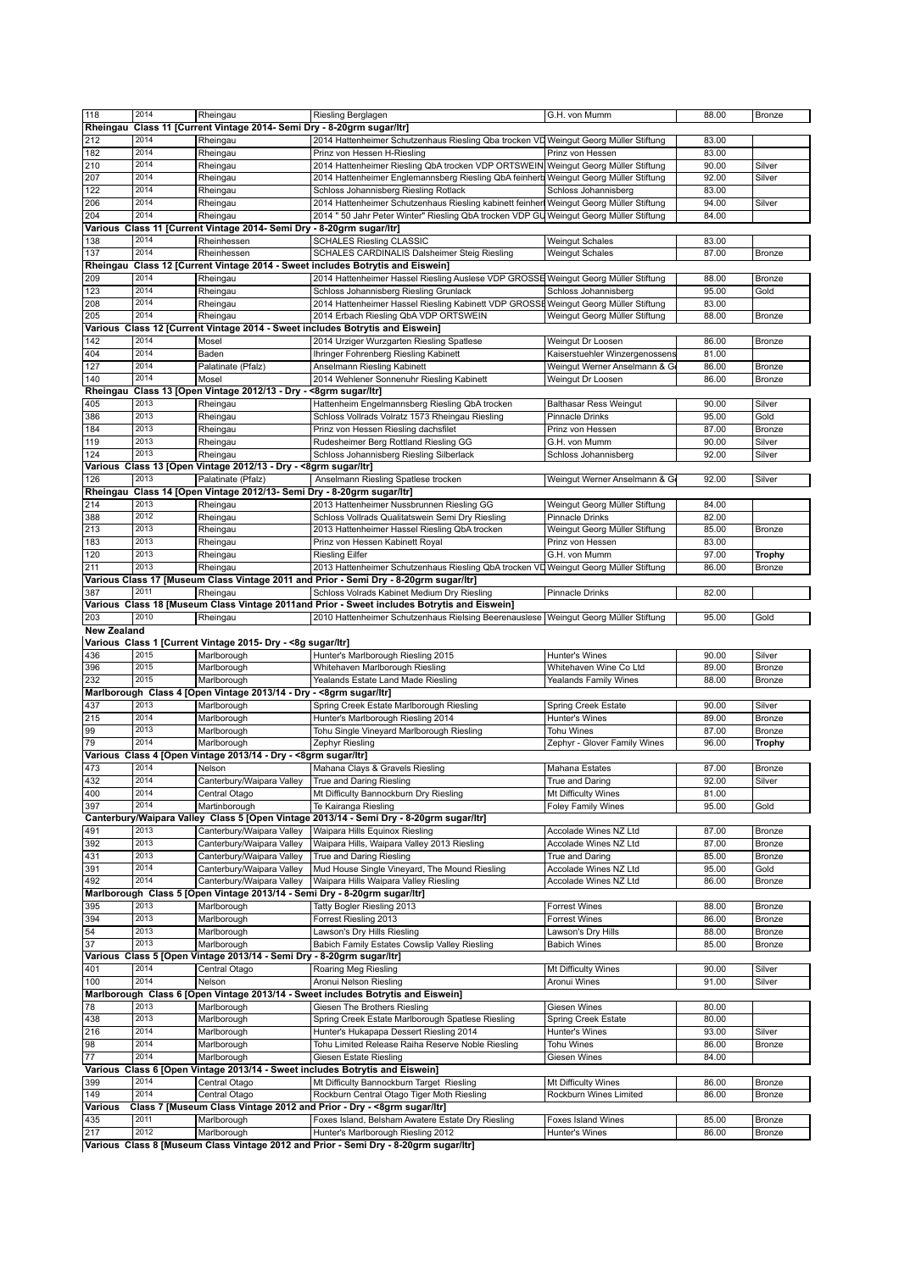| 118                | 2014 | Rheingau                                                                  | Riesling Berglagen                                                                          | G.H. von Mumm                  | 88.00 | Bronze        |
|--------------------|------|---------------------------------------------------------------------------|---------------------------------------------------------------------------------------------|--------------------------------|-------|---------------|
| Rheingau           |      | Class 11 [Current Vintage 2014- Semi Dry - 8-20grm sugar/ltr]             |                                                                                             |                                |       |               |
| 212                | 2014 | Rheingau                                                                  | 2014 Hattenheimer Schutzenhaus Riesling Qba trocken VD Weingut Georg Müller Stiftung        |                                | 83.00 |               |
| 182                | 2014 |                                                                           | Prinz von Hessen H-Riesling                                                                 | Prinz von Hessen               | 83.00 |               |
|                    | 2014 | Rheingau                                                                  |                                                                                             |                                |       |               |
| 210                |      | Rheingau                                                                  | 2014 Hattenheimer Riesling QbA trocken VDP ORTSWEIN Weingut Georg Müller Stiftung           |                                | 90.00 | Silver        |
| 207                | 2014 | Rheingau                                                                  | 2014 Hattenheimer Englemannsberg Riesling QbA feinherb Weingut Georg Müller Stiftung        |                                | 92.00 | Silver        |
| 122                | 2014 | Rheingau                                                                  | Schloss Johannisberg Riesling Rotlack                                                       | Schloss Johannisberg           | 83.00 |               |
| 206                | 2014 | Rheingau                                                                  | 2014 Hattenheimer Schutzenhaus Riesling kabinett feinher Weingut Georg Müller Stiftung      |                                | 94.00 | Silver        |
| 204                | 2014 | Rheingau                                                                  | 2014 " 50 Jahr Peter Winter" Riesling QbA trocken VDP GU Weingut Georg Müller Stiftung      |                                | 84.00 |               |
|                    |      | Various Class 11 [Current Vintage 2014- Semi Dry - 8-20grm sugar/ltr]     |                                                                                             |                                |       |               |
| 138                | 2014 | Rheinhessen                                                               | <b>SCHALES Riesling CLASSIC</b>                                                             | <b>Weingut Schales</b>         | 83.00 |               |
| 137                | 2014 | Rheinhessen                                                               | SCHALES CARDINALIS Dalsheimer Steig Riesling                                                | <b>Weingut Schales</b>         | 87.00 | Bronze        |
|                    |      |                                                                           | Rheingau Class 12 [Current Vintage 2014 - Sweet includes Botrytis and Eiswein]              |                                |       |               |
| 209                | 2014 | Rheingau                                                                  | 2014 Hattenheimer Hassel Riesling Auslese VDP GROSSE Weingut Georg Müller Stiftung          |                                | 88.00 | Bronze        |
|                    | 2014 |                                                                           | Schloss Johannisberg Riesling Grunlack                                                      |                                | 95.00 | Gold          |
| 123                |      | Rheingau                                                                  |                                                                                             | Schloss Johannisberg           |       |               |
| 208                | 2014 | Rheingau                                                                  | 2014 Hattenheimer Hassel Riesling Kabinett VDP GROSSE Weingut Georg Müller Stiftung         |                                | 83.00 |               |
| 205                | 2014 | Rheingau                                                                  | 2014 Erbach Riesling QbA VDP ORTSWEIN                                                       | Weingut Georg Müller Stiftung  | 88.00 | Bronze        |
|                    |      |                                                                           | Various Class 12 [Current Vintage 2014 - Sweet includes Botrytis and Eiswein]               |                                |       |               |
| 142                | 2014 | Mosel                                                                     | 2014 Urziger Wurzgarten Riesling Spatlese                                                   | Weingut Dr Loosen              | 86.00 | Bronze        |
| 404                | 2014 | Baden                                                                     | Ihringer Fohrenberg Riesling Kabinett                                                       | Kaiserstuehler Winzergenossens | 81.00 |               |
| 127                | 2014 | Palatinate (Pfalz)                                                        | Anselmann Riesling Kabinett                                                                 | Weingut Werner Anselmann & G   | 86.00 | Bronze        |
| 140                | 2014 | Mosel                                                                     | 2014 Wehlener Sonnenuhr Riesling Kabinett                                                   | Weingut Dr Loosen              | 86.00 | Bronze        |
|                    |      | Rheingau Class 13 [Open Vintage 2012/13 - Dry - < 8grm sugar/ltr]         |                                                                                             |                                |       |               |
|                    |      |                                                                           |                                                                                             |                                |       |               |
| 405                | 2013 | Rheingau                                                                  | Hattenheim Engelmannsberg Riesling QbA trocken                                              | <b>Balthasar Ress Weingut</b>  | 90.00 | Silver        |
| 386                | 2013 | Rheingau                                                                  | Schloss Vollrads Volratz 1573 Rheingau Riesling                                             | Pinnacle Drinks                | 95.00 | Gold          |
| 184                | 2013 | Rheingau                                                                  | Prinz von Hessen Riesling dachsfilet                                                        | Prinz von Hessen               | 87.00 | Bronze        |
| 119                | 2013 | Rheingau                                                                  | Rudesheimer Berg Rottland Riesling GG                                                       | G.H. von Mumm                  | 90.00 | Silver        |
| 124                | 2013 | Rheingau                                                                  | Schloss Johannisberg Riesling Silberlack                                                    | Schloss Johannisberg           | 92.00 | Silver        |
|                    |      | Various Class 13 [Open Vintage 2012/13 - Dry - <8grm sugar/ltr]           |                                                                                             |                                |       |               |
| 126                | 2013 | Palatinate (Pfalz)                                                        | Anselmann Riesling Spatlese trocken                                                         | Weingut Werner Anselmann & Ge  | 92.00 | Silver        |
|                    |      | Rheingau Class 14 [Open Vintage 2012/13- Semi Dry - 8-20grm sugar/ltr]    |                                                                                             |                                |       |               |
| 214                | 2013 | Rheingau                                                                  |                                                                                             |                                | 84.00 |               |
|                    | 2012 |                                                                           | 2013 Hattenheimer Nussbrunnen Riesling GG                                                   | Weingut Georg Müller Stiftung  |       |               |
| 388                |      | Rheingau                                                                  | Schloss Vollrads Qualitatswein Semi Dry Riesling                                            | Pinnacle Drinks                | 82.00 |               |
| 213                | 2013 | Rheingau                                                                  | 2013 Hattenheimer Hassel Riesling QbA trocken                                               | Weingut Georg Müller Stiftung  | 85.00 | Bronze        |
| 183                | 2013 | Rheingau                                                                  | Prinz von Hessen Kabinett Royal                                                             | Prinz von Hessen               | 83.00 |               |
| 120                | 2013 | Rheingau                                                                  | <b>Riesling Eilfer</b>                                                                      | G.H. von Mumm                  | 97.00 | Trophy        |
| 211                | 2013 | Rheingau                                                                  | 2013 Hattenheimer Schutzenhaus Riesling QbA trocken VD Weingut Georg Müller Stiftung        |                                | 86.00 | Bronze        |
|                    |      |                                                                           | Various Class 17 [Museum Class Vintage 2011 and Prior - Semi Dry - 8-20grm sugar/ltr]       |                                |       |               |
| 387                | 2011 | Rheingau                                                                  | Schloss Volrads Kabinet Medium Dry Riesling                                                 | Pinnacle Drinks                | 82.00 |               |
|                    |      |                                                                           | Various Class 18 [Museum Class Vintage 2011and Prior - Sweet includes Botrytis and Eiswein] |                                |       |               |
|                    | 2010 |                                                                           |                                                                                             |                                |       |               |
| 203                |      | Rheingau                                                                  | 2010 Hattenheimer Schutzenhaus Rielsing Beerenauslese   Weingut Georg Müller Stiftung       |                                | 95.00 | Gold          |
| <b>New Zealand</b> |      |                                                                           |                                                                                             |                                |       |               |
|                    |      | Various Class 1 [Current Vintage 2015- Dry - <8g sugar/ltr]               |                                                                                             |                                |       |               |
| 436                | 2015 | Marlborough                                                               | Hunter's Marlborough Riesling 2015                                                          | Hunter's Wines                 | 90.00 | Silver        |
| 396                | 2015 | Marlborough                                                               | Whitehaven Marlborough Riesling                                                             | Whitehaven Wine Co Ltd         | 89.00 | Bronze        |
| 232                | 2015 | Marlborough                                                               | Yealands Estate Land Made Riesling                                                          | Yealands Family Wines          | 88.00 | <b>Bronze</b> |
|                    |      | Marlborough Class 4 [Open Vintage 2013/14 - Dry - <8grm sugar/ltr]        |                                                                                             |                                |       |               |
| 437                | 2013 | Marlborough                                                               | Spring Creek Estate Marlborough Riesling                                                    | Spring Creek Estate            | 90.00 | Silver        |
| 215                | 2014 | Marlborough                                                               | Hunter's Marlborough Riesling 2014                                                          | Hunter's Wines                 | 89.00 | Bronze        |
| 99                 | 2013 | Marlborough                                                               | Tohu Single Vineyard Marlborough Riesling                                                   | Tohu Wines                     | 87.00 | <b>Bronze</b> |
| 79                 | 2014 | Marlborough                                                               |                                                                                             | Zephyr - Glover Family Wines   | 96.00 |               |
|                    |      |                                                                           | Zephyr Riesling                                                                             |                                |       | <b>Trophy</b> |
|                    |      | Various Class 4 [Open Vintage 2013/14 - Dry - <8grm sugar/ltr]            |                                                                                             |                                |       |               |
| 473                | 2014 | Nelson                                                                    | Mahana Clays & Gravels Riesling                                                             | Mahana Estates                 | 87.00 | Bronze        |
| 432                | 2014 | Canterbury/Waipara Valley                                                 | True and Daring Riesling                                                                    | True and Daring                | 92.00 | Silver        |
| 400                | 2014 | Central Otago                                                             | Mt Difficulty Bannockburn Dry Riesling                                                      | Mt Difficulty Wines            | 81.00 |               |
| 397                | 2014 | Martinborough                                                             | Te Kairanga Riesling                                                                        |                                |       |               |
|                    |      |                                                                           |                                                                                             | <b>Foley Family Wines</b>      | 95.00 | Gold          |
| 491                |      |                                                                           | Canterbury/Waipara Valley Class 5 [Open Vintage 2013/14 - Semi Dry - 8-20grm sugar/ltr]     |                                |       |               |
|                    | 2013 |                                                                           | Waipara Hills Equinox Riesling                                                              |                                | 87.00 | Bronze        |
|                    |      | Canterbury/Waipara Valley                                                 |                                                                                             | Accolade Wines NZ Ltd          |       |               |
| 392                | 2013 | Canterbury/Waipara Valley                                                 | Waipara Hills, Waipara Valley 2013 Riesling                                                 | Accolade Wines NZ Ltd          | 87.00 | Bronze        |
| 431                | 2013 | Canterbury/Waipara Valley                                                 | True and Daring Riesling                                                                    | True and Daring                | 85.00 | Bronze        |
| 391                | 2014 | Canterbury/Waipara Valley                                                 | Mud House Single Vineyard, The Mound Riesling                                               | Accolade Wines NZ Ltd          | 95.00 | Gold          |
| 492                | 2014 | Canterbury/Waipara Valley                                                 | Waipara Hills Waipara Valley Riesling                                                       | Accolade Wines NZ Ltd          | 86.00 | Bronze        |
|                    |      | Marlborough Class 5 [Open Vintage 2013/14 - Semi Dry - 8-20grm sugar/ltr] |                                                                                             |                                |       |               |
| 395                | 2013 | Marlborough                                                               | Tatty Bogler Riesling 2013                                                                  | Forrest Wines                  | 88.00 | Bronze        |
| 394                | 2013 | Marlborough                                                               | Forrest Riesling 2013                                                                       | <b>Forrest Wines</b>           | 86.00 | Bronze        |
| 54                 | 2013 | Marlborough                                                               | Lawson's Dry Hills Riesling                                                                 | Lawson's Dry Hills             | 88.00 | Bronze        |
| $\overline{37}$    | 2013 | Marlborough                                                               | Babich Family Estates Cowslip Valley Riesling                                               | <b>Babich Wines</b>            | 85.00 | Bronze        |
|                    |      |                                                                           |                                                                                             |                                |       |               |
|                    |      | Various Class 5 [Open Vintage 2013/14 - Semi Dry - 8-20grm sugar/ltr]     |                                                                                             |                                |       |               |
| 401                | 2014 | Central Otago                                                             | Roaring Meg Riesling                                                                        | Mt Difficulty Wines            | 90.00 | Silver        |
| 100                | 2014 | Nelson                                                                    | Aronui Nelson Riesling                                                                      | Aronui Wines                   | 91.00 | Silver        |
|                    |      |                                                                           | Marlborough Class 6 [Open Vintage 2013/14 - Sweet includes Botrytis and Eiswein]            |                                |       |               |
| 78                 | 2013 | Marlborough                                                               | Giesen The Brothers Riesling                                                                | Giesen Wines                   | 80.00 |               |
| 438                | 2013 | Marlborough                                                               | Spring Creek Estate Marlborough Spatlese Riesling                                           | Spring Creek Estate            | 80.00 |               |
| 216                | 2014 | Marlborough                                                               | Hunter's Hukapapa Dessert Riesling 2014                                                     | Hunter's Wines                 | 93.00 | Silver        |
| 98                 | 2014 | Marlborough                                                               | Tohu Limited Release Raiha Reserve Noble Riesling                                           | <b>Tohu Wines</b>              | 86.00 | Bronze        |
| 77                 | 2014 | Marlborough                                                               | <b>Giesen Estate Riesling</b>                                                               |                                |       |               |
|                    |      |                                                                           |                                                                                             | Giesen Wines                   | 84.00 |               |
|                    |      |                                                                           | Various Class 6 [Open Vintage 2013/14 - Sweet includes Botrytis and Eiswein]                |                                |       |               |
| 399                | 2014 | Central Otago                                                             | Mt Difficulty Bannockburn Target Riesling                                                   | Mt Difficulty Wines            | 86.00 | Bronze        |
| 149                | 2014 | Central Otago                                                             | Rockburn Central Otago Tiger Moth Riesling                                                  | Rockburn Wines Limited         | 86.00 | Bronze        |
| Various            |      |                                                                           | Class 7 [Museum Class Vintage 2012 and Prior - Dry - < 8grm sugar/ltr]                      |                                |       |               |
| 435                | 2011 | Marlborough                                                               | Foxes Island, Belsham Awatere Estate Dry Riesling                                           | <b>Foxes Island Wines</b>      | 85.00 | Bronze        |
| 217                | 2012 | Marlborough                                                               | Hunter's Marlborough Riesling 2012                                                          | Hunter's Wines                 | 86.00 | Bronze        |
|                    |      |                                                                           | Various Class 8 [Museum Class Vintage 2012 and Prior - Semi Dry - 8-20grm sugar/ltr]        |                                |       |               |